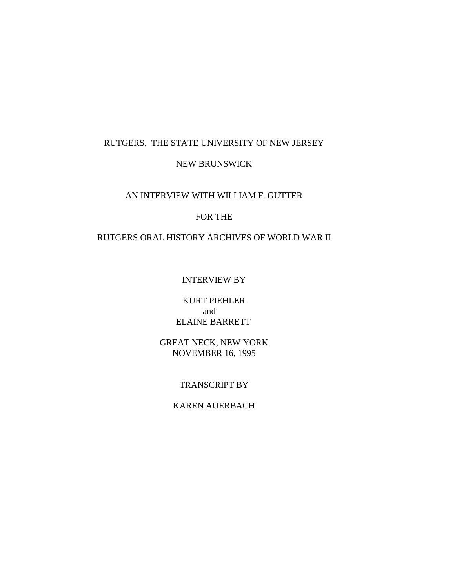### RUTGERS, THE STATE UNIVERSITY OF NEW JERSEY

# NEW BRUNSWICK

#### AN INTERVIEW WITH WILLIAM F. GUTTER

#### FOR THE

# RUTGERS ORAL HISTORY ARCHIVES OF WORLD WAR II

### INTERVIEW BY

### KURT PIEHLER and ELAINE BARRETT

### GREAT NECK, NEW YORK NOVEMBER 16, 1995

### TRANSCRIPT BY

# KAREN AUERBACH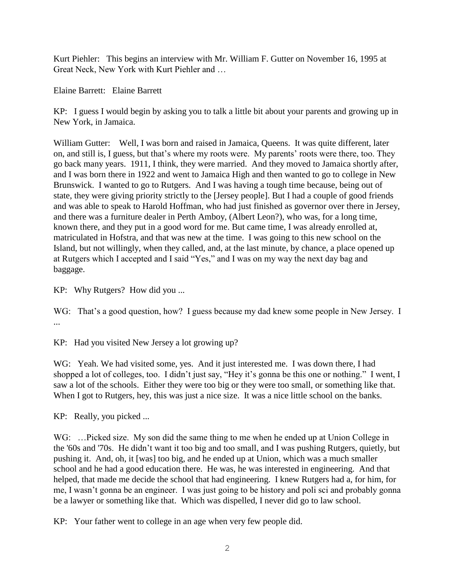Kurt Piehler: This begins an interview with Mr. William F. Gutter on November 16, 1995 at Great Neck, New York with Kurt Piehler and …

Elaine Barrett: Elaine Barrett

KP: I guess I would begin by asking you to talk a little bit about your parents and growing up in New York, in Jamaica.

William Gutter: Well, I was born and raised in Jamaica, Queens. It was quite different, later on, and still is, I guess, but that's where my roots were. My parents' roots were there, too. They go back many years. 1911, I think, they were married. And they moved to Jamaica shortly after, and I was born there in 1922 and went to Jamaica High and then wanted to go to college in New Brunswick. I wanted to go to Rutgers. And I was having a tough time because, being out of state, they were giving priority strictly to the [Jersey people]. But I had a couple of good friends and was able to speak to Harold Hoffman, who had just finished as governor over there in Jersey, and there was a furniture dealer in Perth Amboy, (Albert Leon?), who was, for a long time, known there, and they put in a good word for me. But came time, I was already enrolled at, matriculated in Hofstra, and that was new at the time. I was going to this new school on the Island, but not willingly, when they called, and, at the last minute, by chance, a place opened up at Rutgers which I accepted and I said "Yes," and I was on my way the next day bag and baggage.

KP: Why Rutgers? How did you ...

WG: That's a good question, how? I guess because my dad knew some people in New Jersey. I ...

KP: Had you visited New Jersey a lot growing up?

WG: Yeah. We had visited some, yes. And it just interested me. I was down there, I had shopped a lot of colleges, too. I didn't just say, "Hey it's gonna be this one or nothing." I went, I saw a lot of the schools. Either they were too big or they were too small, or something like that. When I got to Rutgers, hey, this was just a nice size. It was a nice little school on the banks.

KP: Really, you picked ...

WG: ...Picked size. My son did the same thing to me when he ended up at Union College in the '60s and '70s. He didn't want it too big and too small, and I was pushing Rutgers, quietly, but pushing it. And, oh, it [was] too big, and he ended up at Union, which was a much smaller school and he had a good education there. He was, he was interested in engineering. And that helped, that made me decide the school that had engineering. I knew Rutgers had a, for him, for me, I wasn't gonna be an engineer. I was just going to be history and poli sci and probably gonna be a lawyer or something like that. Which was dispelled, I never did go to law school.

KP: Your father went to college in an age when very few people did.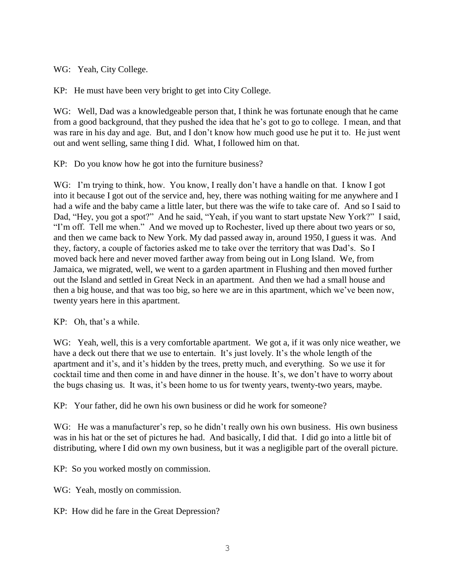WG: Yeah, City College.

KP: He must have been very bright to get into City College.

WG: Well, Dad was a knowledgeable person that, I think he was fortunate enough that he came from a good background, that they pushed the idea that he's got to go to college. I mean, and that was rare in his day and age. But, and I don't know how much good use he put it to. He just went out and went selling, same thing I did. What, I followed him on that.

KP: Do you know how he got into the furniture business?

WG: I'm trying to think, how. You know, I really don't have a handle on that. I know I got into it because I got out of the service and, hey, there was nothing waiting for me anywhere and I had a wife and the baby came a little later, but there was the wife to take care of. And so I said to Dad, "Hey, you got a spot?" And he said, "Yeah, if you want to start upstate New York?" I said, "I'm off. Tell me when." And we moved up to Rochester, lived up there about two years or so, and then we came back to New York. My dad passed away in, around 1950, I guess it was. And they, factory, a couple of factories asked me to take over the territory that was Dad's. So I moved back here and never moved farther away from being out in Long Island. We, from Jamaica, we migrated, well, we went to a garden apartment in Flushing and then moved further out the Island and settled in Great Neck in an apartment. And then we had a small house and then a big house, and that was too big, so here we are in this apartment, which we've been now, twenty years here in this apartment.

KP: Oh, that's a while.

WG: Yeah, well, this is a very comfortable apartment. We got a, if it was only nice weather, we have a deck out there that we use to entertain. It's just lovely. It's the whole length of the apartment and it's, and it's hidden by the trees, pretty much, and everything. So we use it for cocktail time and then come in and have dinner in the house. It's, we don't have to worry about the bugs chasing us. It was, it's been home to us for twenty years, twenty-two years, maybe.

KP: Your father, did he own his own business or did he work for someone?

WG: He was a manufacturer's rep, so he didn't really own his own business. His own business was in his hat or the set of pictures he had. And basically, I did that. I did go into a little bit of distributing, where I did own my own business, but it was a negligible part of the overall picture.

KP: So you worked mostly on commission.

WG: Yeah, mostly on commission.

KP: How did he fare in the Great Depression?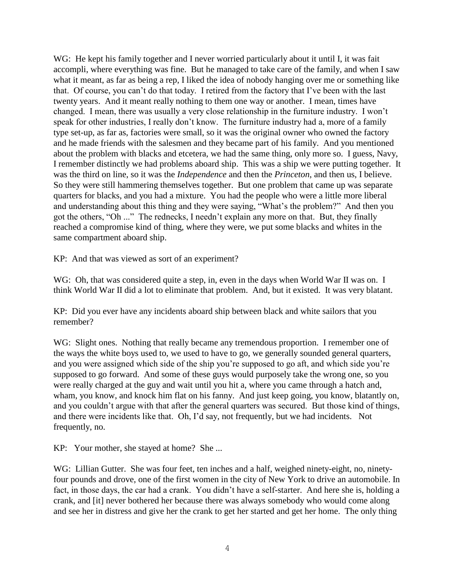WG: He kept his family together and I never worried particularly about it until I, it was fait accompli, where everything was fine. But he managed to take care of the family, and when I saw what it meant, as far as being a rep, I liked the idea of nobody hanging over me or something like that. Of course, you can't do that today. I retired from the factory that I've been with the last twenty years. And it meant really nothing to them one way or another. I mean, times have changed. I mean, there was usually a very close relationship in the furniture industry. I won't speak for other industries, I really don't know. The furniture industry had a, more of a family type set-up, as far as, factories were small, so it was the original owner who owned the factory and he made friends with the salesmen and they became part of his family. And you mentioned about the problem with blacks and etcetera, we had the same thing, only more so. I guess, Navy, I remember distinctly we had problems aboard ship. This was a ship we were putting together. It was the third on line, so it was the *Independence* and then the *Princeton*, and then us, I believe. So they were still hammering themselves together. But one problem that came up was separate quarters for blacks, and you had a mixture. You had the people who were a little more liberal and understanding about this thing and they were saying, "What's the problem?" And then you got the others, "Oh ..." The rednecks, I needn't explain any more on that. But, they finally reached a compromise kind of thing, where they were, we put some blacks and whites in the same compartment aboard ship.

KP: And that was viewed as sort of an experiment?

WG: Oh, that was considered quite a step, in, even in the days when World War II was on. I think World War II did a lot to eliminate that problem. And, but it existed. It was very blatant.

KP: Did you ever have any incidents aboard ship between black and white sailors that you remember?

WG: Slight ones. Nothing that really became any tremendous proportion. I remember one of the ways the white boys used to, we used to have to go, we generally sounded general quarters, and you were assigned which side of the ship you're supposed to go aft, and which side you're supposed to go forward. And some of these guys would purposely take the wrong one, so you were really charged at the guy and wait until you hit a, where you came through a hatch and, wham, you know, and knock him flat on his fanny. And just keep going, you know, blatantly on, and you couldn't argue with that after the general quarters was secured. But those kind of things, and there were incidents like that. Oh, I'd say, not frequently, but we had incidents. Not frequently, no.

KP: Your mother, she stayed at home? She ...

WG: Lillian Gutter. She was four feet, ten inches and a half, weighed ninety-eight, no, ninetyfour pounds and drove, one of the first women in the city of New York to drive an automobile. In fact, in those days, the car had a crank. You didn't have a self-starter. And here she is, holding a crank, and [it] never bothered her because there was always somebody who would come along and see her in distress and give her the crank to get her started and get her home. The only thing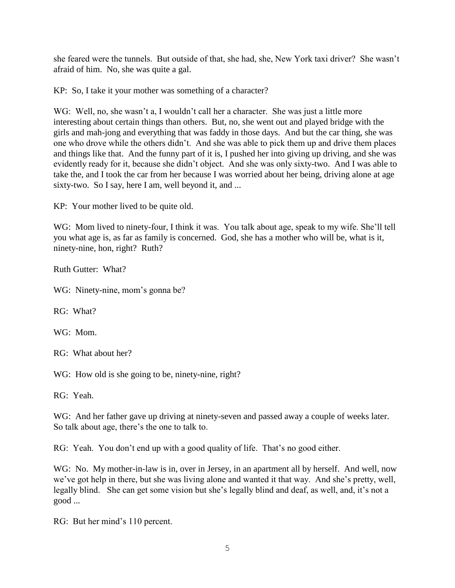she feared were the tunnels. But outside of that, she had, she, New York taxi driver? She wasn't afraid of him. No, she was quite a gal.

KP: So, I take it your mother was something of a character?

WG: Well, no, she wasn't a, I wouldn't call her a character. She was just a little more interesting about certain things than others. But, no, she went out and played bridge with the girls and mah-jong and everything that was faddy in those days. And but the car thing, she was one who drove while the others didn't. And she was able to pick them up and drive them places and things like that. And the funny part of it is, I pushed her into giving up driving, and she was evidently ready for it, because she didn't object. And she was only sixty-two. And I was able to take the, and I took the car from her because I was worried about her being, driving alone at age sixty-two. So I say, here I am, well beyond it, and ...

KP: Your mother lived to be quite old.

WG: Mom lived to ninety-four, I think it was. You talk about age, speak to my wife. She'll tell you what age is, as far as family is concerned. God, she has a mother who will be, what is it, ninety-nine, hon, right? Ruth?

Ruth Gutter: What?

WG: Ninety-nine, mom's gonna be?

RG: What?

WG: Mom.

RG: What about her?

WG: How old is she going to be, ninety-nine, right?

RG: Yeah.

WG: And her father gave up driving at ninety-seven and passed away a couple of weeks later. So talk about age, there's the one to talk to.

RG: Yeah. You don't end up with a good quality of life. That's no good either.

WG: No. My mother-in-law is in, over in Jersey, in an apartment all by herself. And well, now we've got help in there, but she was living alone and wanted it that way. And she's pretty, well, legally blind. She can get some vision but she's legally blind and deaf, as well, and, it's not a good ...

RG: But her mind's 110 percent.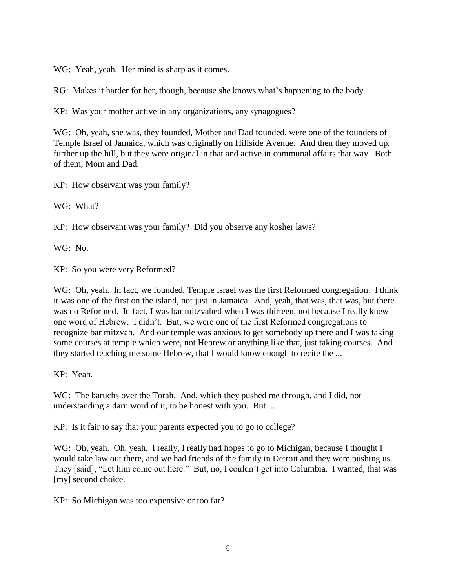WG: Yeah, yeah. Her mind is sharp as it comes.

RG: Makes it harder for her, though, because she knows what's happening to the body.

KP: Was your mother active in any organizations, any synagogues?

WG: Oh, yeah, she was, they founded, Mother and Dad founded, were one of the founders of Temple Israel of Jamaica, which was originally on Hillside Avenue. And then they moved up, further up the hill, but they were original in that and active in communal affairs that way. Both of them, Mom and Dad.

KP: How observant was your family?

WG: What?

KP: How observant was your family? Did you observe any kosher laws?

WG: No.

KP: So you were very Reformed?

WG: Oh, yeah. In fact, we founded, Temple Israel was the first Reformed congregation. I think it was one of the first on the island, not just in Jamaica. And, yeah, that was, that was, but there was no Reformed. In fact, I was bar mitzvahed when I was thirteen, not because I really knew one word of Hebrew. I didn't. But, we were one of the first Reformed congregations to recognize bar mitzvah. And our temple was anxious to get somebody up there and I was taking some courses at temple which were, not Hebrew or anything like that, just taking courses. And they started teaching me some Hebrew, that I would know enough to recite the ...

KP: Yeah.

WG: The baruchs over the Torah. And, which they pushed me through, and I did, not understanding a darn word of it, to be honest with you. But ...

KP: Is it fair to say that your parents expected you to go to college?

WG: Oh, yeah. Oh, yeah. I really, I really had hopes to go to Michigan, because I thought I would take law out there, and we had friends of the family in Detroit and they were pushing us. They [said], "Let him come out here." But, no, I couldn't get into Columbia. I wanted, that was [my] second choice.

KP: So Michigan was too expensive or too far?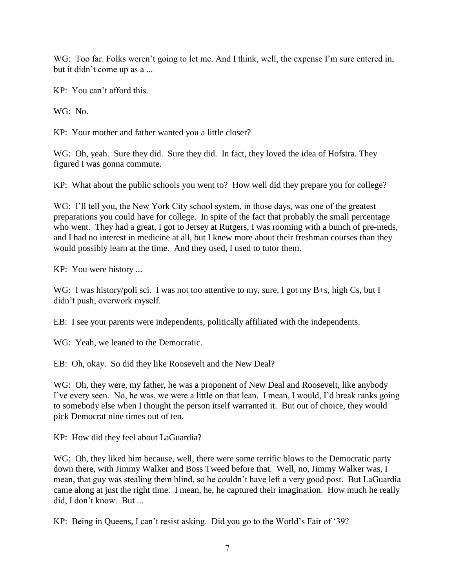WG: Too far. Folks weren't going to let me. And I think, well, the expense I'm sure entered in, but it didn't come up as a ...

KP: You can't afford this.

WG: No.

KP: Your mother and father wanted you a little closer?

WG: Oh, yeah. Sure they did. Sure they did. In fact, they loved the idea of Hofstra. They figured I was gonna commute.

KP: What about the public schools you went to? How well did they prepare you for college?

WG: I'll tell you, the New York City school system, in those days, was one of the greatest preparations you could have for college. In spite of the fact that probably the small percentage who went. They had a great, I got to Jersey at Rutgers, I was rooming with a bunch of pre-meds, and I had no interest in medicine at all, but I knew more about their freshman courses than they would possibly learn at the time. And they used, I used to tutor them.

KP: You were history ...

WG: I was history/poli sci. I was not too attentive to my, sure, I got my B+s, high Cs, but I didn't push, overwork myself.

EB: I see your parents were independents, politically affiliated with the independents.

WG: Yeah, we leaned to the Democratic.

EB: Oh, okay. So did they like Roosevelt and the New Deal?

WG: Oh, they were, my father, he was a proponent of New Deal and Roosevelt, like anybody I've every seen. No, he was, we were a little on that lean. I mean, I would, I'd break ranks going to somebody else when I thought the person itself warranted it. But out of choice, they would pick Democrat nine times out of ten.

KP: How did they feel about LaGuardia?

WG: Oh, they liked him because, well, there were some terrific blows to the Democratic party down there, with Jimmy Walker and Boss Tweed before that. Well, no, Jimmy Walker was, I mean, that guy was stealing them blind, so he couldn't have left a very good post. But LaGuardia came along at just the right time. I mean, he, he captured their imagination. How much he really did, I don't know. But ...

KP: Being in Queens, I can't resist asking. Did you go to the World's Fair of '39?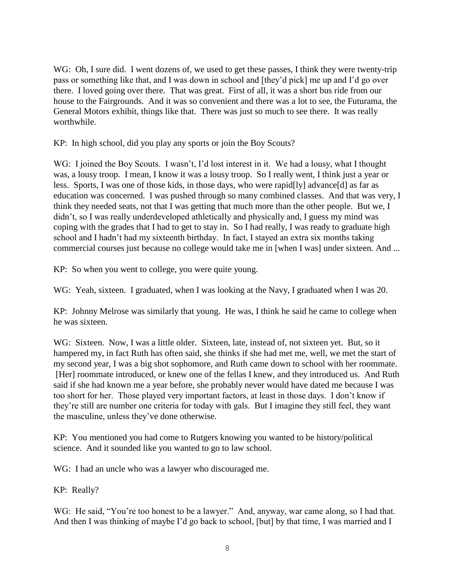WG: Oh, I sure did. I went dozens of, we used to get these passes, I think they were twenty-trip pass or something like that, and I was down in school and [they'd pick] me up and I'd go over there. I loved going over there. That was great. First of all, it was a short bus ride from our house to the Fairgrounds. And it was so convenient and there was a lot to see, the Futurama, the General Motors exhibit, things like that. There was just so much to see there. It was really worthwhile.

KP: In high school, did you play any sports or join the Boy Scouts?

WG: I joined the Boy Scouts. I wasn't, I'd lost interest in it. We had a lousy, what I thought was, a lousy troop. I mean, I know it was a lousy troop. So I really went, I think just a year or less. Sports, I was one of those kids, in those days, who were rapid[ly] advance[d] as far as education was concerned. I was pushed through so many combined classes. And that was very, I think they needed seats, not that I was getting that much more than the other people. But we, I didn't, so I was really underdeveloped athletically and physically and, I guess my mind was coping with the grades that I had to get to stay in. So I had really, I was ready to graduate high school and I hadn't had my sixteenth birthday. In fact, I stayed an extra six months taking commercial courses just because no college would take me in [when I was] under sixteen. And ...

KP: So when you went to college, you were quite young.

WG: Yeah, sixteen. I graduated, when I was looking at the Navy, I graduated when I was 20.

KP: Johnny Melrose was similarly that young. He was, I think he said he came to college when he was sixteen.

WG: Sixteen. Now, I was a little older. Sixteen, late, instead of, not sixteen yet. But, so it hampered my, in fact Ruth has often said, she thinks if she had met me, well, we met the start of my second year, I was a big shot sophomore, and Ruth came down to school with her roommate. [Her] roommate introduced, or knew one of the fellas I knew, and they introduced us. And Ruth said if she had known me a year before, she probably never would have dated me because I was too short for her. Those played very important factors, at least in those days. I don't know if they're still are number one criteria for today with gals. But I imagine they still feel, they want the masculine, unless they've done otherwise.

KP: You mentioned you had come to Rutgers knowing you wanted to be history/political science. And it sounded like you wanted to go to law school.

WG: I had an uncle who was a lawyer who discouraged me.

KP: Really?

WG: He said, "You're too honest to be a lawyer." And, anyway, war came along, so I had that. And then I was thinking of maybe I'd go back to school, [but] by that time, I was married and I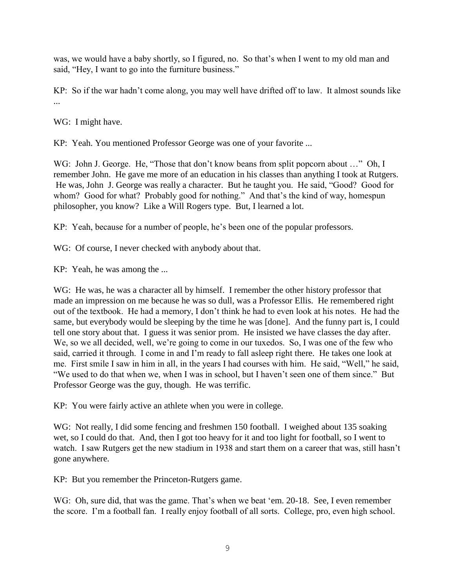was, we would have a baby shortly, so I figured, no. So that's when I went to my old man and said, "Hey, I want to go into the furniture business."

KP: So if the war hadn't come along, you may well have drifted off to law. It almost sounds like ...

WG: I might have.

KP: Yeah. You mentioned Professor George was one of your favorite ...

WG: John J. George. He, "Those that don't know beans from split popcorn about ..." Oh, I remember John. He gave me more of an education in his classes than anything I took at Rutgers. He was, John J. George was really a character. But he taught you. He said, "Good? Good for whom? Good for what? Probably good for nothing." And that's the kind of way, homespun philosopher, you know? Like a Will Rogers type. But, I learned a lot.

KP: Yeah, because for a number of people, he's been one of the popular professors.

WG: Of course, I never checked with anybody about that.

KP: Yeah, he was among the ...

WG: He was, he was a character all by himself. I remember the other history professor that made an impression on me because he was so dull, was a Professor Ellis. He remembered right out of the textbook. He had a memory, I don't think he had to even look at his notes. He had the same, but everybody would be sleeping by the time he was [done]. And the funny part is, I could tell one story about that. I guess it was senior prom. He insisted we have classes the day after. We, so we all decided, well, we're going to come in our tuxedos. So, I was one of the few who said, carried it through. I come in and I'm ready to fall asleep right there. He takes one look at me. First smile I saw in him in all, in the years I had courses with him. He said, "Well," he said, "We used to do that when we, when I was in school, but I haven't seen one of them since." But Professor George was the guy, though. He was terrific.

KP: You were fairly active an athlete when you were in college.

WG: Not really, I did some fencing and freshmen 150 football. I weighed about 135 soaking wet, so I could do that. And, then I got too heavy for it and too light for football, so I went to watch. I saw Rutgers get the new stadium in 1938 and start them on a career that was, still hasn't gone anywhere.

KP: But you remember the Princeton-Rutgers game.

WG: Oh, sure did, that was the game. That's when we beat 'em. 20-18. See, I even remember the score. I'm a football fan. I really enjoy football of all sorts. College, pro, even high school.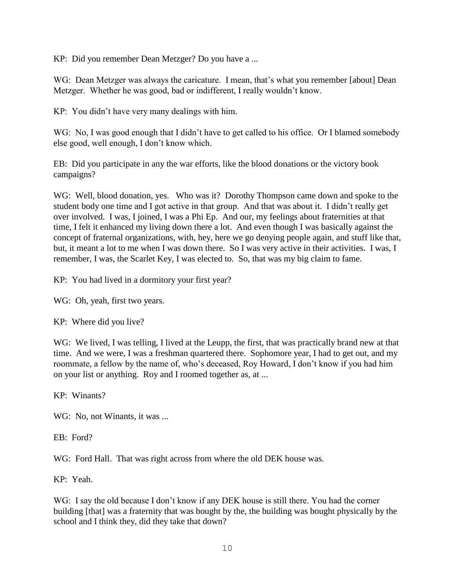KP: Did you remember Dean Metzger? Do you have a ...

WG: Dean Metzger was always the caricature. I mean, that's what you remember [about] Dean Metzger. Whether he was good, bad or indifferent, I really wouldn't know.

KP: You didn't have very many dealings with him.

WG: No, I was good enough that I didn't have to get called to his office. Or I blamed somebody else good, well enough, I don't know which.

EB: Did you participate in any the war efforts, like the blood donations or the victory book campaigns?

WG: Well, blood donation, yes. Who was it? Dorothy Thompson came down and spoke to the student body one time and I got active in that group. And that was about it. I didn't really get over involved. I was, I joined, I was a Phi Ep. And our, my feelings about fraternities at that time, I felt it enhanced my living down there a lot. And even though I was basically against the concept of fraternal organizations, with, hey, here we go denying people again, and stuff like that, but, it meant a lot to me when I was down there. So I was very active in their activities. I was, I remember, I was, the Scarlet Key, I was elected to. So, that was my big claim to fame.

KP: You had lived in a dormitory your first year?

WG: Oh, yeah, first two years.

KP: Where did you live?

WG: We lived, I was telling, I lived at the Leupp, the first, that was practically brand new at that time. And we were, I was a freshman quartered there. Sophomore year, I had to get out, and my roommate, a fellow by the name of, who's deceased, Roy Howard, I don't know if you had him on your list or anything. Roy and I roomed together as, at ...

KP: Winants?

WG: No, not Winants, it was ...

EB: Ford?

WG: Ford Hall. That was right across from where the old DEK house was.

KP: Yeah.

WG: I say the old because I don't know if any DEK house is still there. You had the corner building [that] was a fraternity that was bought by the, the building was bought physically by the school and I think they, did they take that down?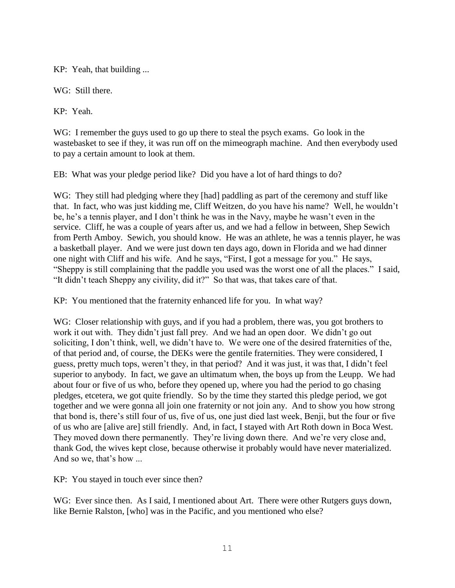KP: Yeah, that building ...

WG: Still there.

KP: Yeah.

WG: I remember the guys used to go up there to steal the psych exams. Go look in the wastebasket to see if they, it was run off on the mimeograph machine. And then everybody used to pay a certain amount to look at them.

EB: What was your pledge period like? Did you have a lot of hard things to do?

WG: They still had pledging where they [had] paddling as part of the ceremony and stuff like that. In fact, who was just kidding me, Cliff Weitzen, do you have his name? Well, he wouldn't be, he's a tennis player, and I don't think he was in the Navy, maybe he wasn't even in the service. Cliff, he was a couple of years after us, and we had a fellow in between, Shep Sewich from Perth Amboy. Sewich, you should know. He was an athlete, he was a tennis player, he was a basketball player. And we were just down ten days ago, down in Florida and we had dinner one night with Cliff and his wife. And he says, "First, I got a message for you." He says, "Sheppy is still complaining that the paddle you used was the worst one of all the places." I said, "It didn't teach Sheppy any civility, did it?" So that was, that takes care of that.

KP: You mentioned that the fraternity enhanced life for you. In what way?

WG: Closer relationship with guys, and if you had a problem, there was, you got brothers to work it out with. They didn't just fall prey. And we had an open door. We didn't go out soliciting, I don't think, well, we didn't have to. We were one of the desired fraternities of the, of that period and, of course, the DEKs were the gentile fraternities. They were considered, I guess, pretty much tops, weren't they, in that period? And it was just, it was that, I didn't feel superior to anybody. In fact, we gave an ultimatum when, the boys up from the Leupp. We had about four or five of us who, before they opened up, where you had the period to go chasing pledges, etcetera, we got quite friendly. So by the time they started this pledge period, we got together and we were gonna all join one fraternity or not join any. And to show you how strong that bond is, there's still four of us, five of us, one just died last week, Benji, but the four or five of us who are [alive are] still friendly. And, in fact, I stayed with Art Roth down in Boca West. They moved down there permanently. They're living down there. And we're very close and, thank God, the wives kept close, because otherwise it probably would have never materialized. And so we, that's how ...

KP: You stayed in touch ever since then?

WG: Ever since then. As I said, I mentioned about Art. There were other Rutgers guys down, like Bernie Ralston, [who] was in the Pacific, and you mentioned who else?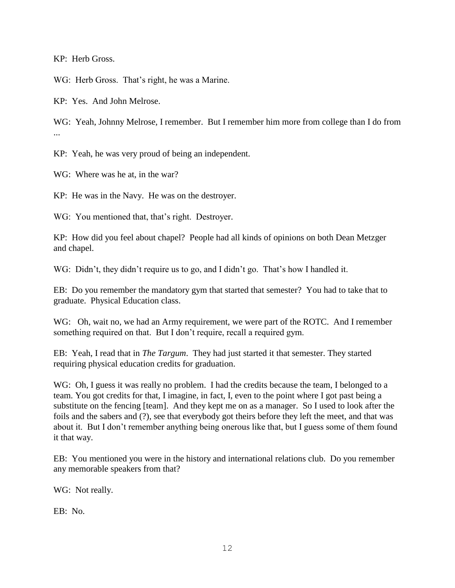KP: Herb Gross.

WG: Herb Gross. That's right, he was a Marine.

KP: Yes. And John Melrose.

WG: Yeah, Johnny Melrose, I remember. But I remember him more from college than I do from ...

KP: Yeah, he was very proud of being an independent.

WG: Where was he at, in the war?

KP: He was in the Navy. He was on the destroyer.

WG: You mentioned that, that's right. Destroyer.

KP: How did you feel about chapel? People had all kinds of opinions on both Dean Metzger and chapel.

WG: Didn't, they didn't require us to go, and I didn't go. That's how I handled it.

EB: Do you remember the mandatory gym that started that semester? You had to take that to graduate. Physical Education class.

WG: Oh, wait no, we had an Army requirement, we were part of the ROTC. And I remember something required on that. But I don't require, recall a required gym.

EB: Yeah, I read that in *The Targum*. They had just started it that semester. They started requiring physical education credits for graduation.

WG: Oh, I guess it was really no problem. I had the credits because the team, I belonged to a team. You got credits for that, I imagine, in fact, I, even to the point where I got past being a substitute on the fencing [team]. And they kept me on as a manager. So I used to look after the foils and the sabers and (?), see that everybody got theirs before they left the meet, and that was about it. But I don't remember anything being onerous like that, but I guess some of them found it that way.

EB: You mentioned you were in the history and international relations club. Do you remember any memorable speakers from that?

WG: Not really.

EB: No.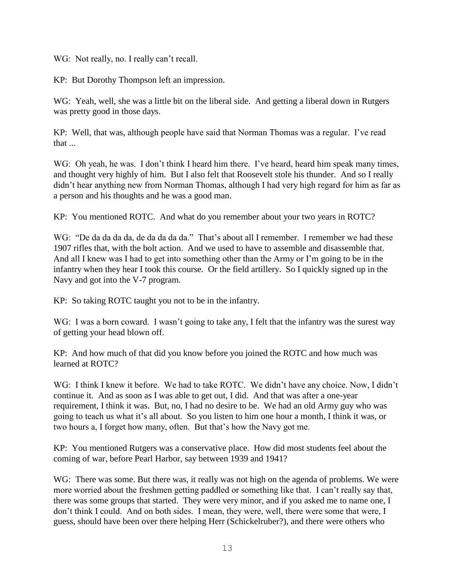WG: Not really, no. I really can't recall.

KP: But Dorothy Thompson left an impression.

WG: Yeah, well, she was a little bit on the liberal side. And getting a liberal down in Rutgers was pretty good in those days.

KP: Well, that was, although people have said that Norman Thomas was a regular. I've read that ...

WG: Oh yeah, he was. I don't think I heard him there. I've heard, heard him speak many times, and thought very highly of him. But I also felt that Roosevelt stole his thunder. And so I really didn't hear anything new from Norman Thomas, although I had very high regard for him as far as a person and his thoughts and he was a good man.

KP: You mentioned ROTC. And what do you remember about your two years in ROTC?

WG: "De da da da da, de da da da da." That's about all I remember. I remember we had these 1907 rifles that, with the bolt action. And we used to have to assemble and disassemble that. And all I knew was I had to get into something other than the Army or I'm going to be in the infantry when they hear I took this course. Or the field artillery. So I quickly signed up in the Navy and got into the V-7 program.

KP: So taking ROTC taught you not to be in the infantry.

WG: I was a born coward. I wasn't going to take any, I felt that the infantry was the surest way of getting your head blown off.

KP: And how much of that did you know before you joined the ROTC and how much was learned at ROTC?

WG: I think I knew it before. We had to take ROTC. We didn't have any choice. Now, I didn't continue it. And as soon as I was able to get out, I did. And that was after a one-year requirement, I think it was. But, no, I had no desire to be. We had an old Army guy who was going to teach us what it's all about. So you listen to him one hour a month, I think it was, or two hours a, I forget how many, often. But that's how the Navy got me.

KP: You mentioned Rutgers was a conservative place. How did most students feel about the coming of war, before Pearl Harbor, say between 1939 and 1941?

WG: There was some. But there was, it really was not high on the agenda of problems. We were more worried about the freshmen getting paddled or something like that. I can't really say that, there was some groups that started. They were very minor, and if you asked me to name one, I don't think I could. And on both sides. I mean, they were, well, there were some that were, I guess, should have been over there helping Herr (Schickelruber?), and there were others who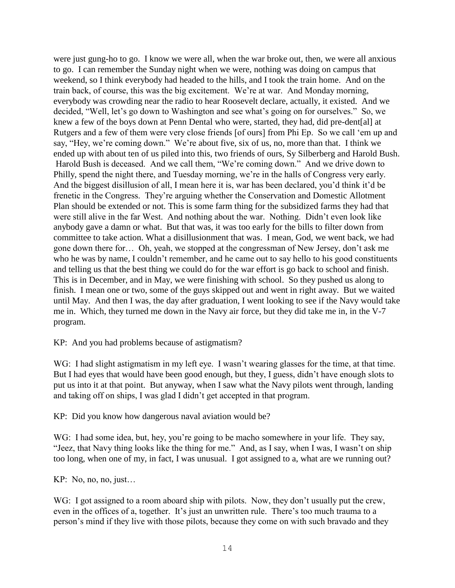were just gung-ho to go. I know we were all, when the war broke out, then, we were all anxious to go. I can remember the Sunday night when we were, nothing was doing on campus that weekend, so I think everybody had headed to the hills, and I took the train home. And on the train back, of course, this was the big excitement. We're at war. And Monday morning, everybody was crowding near the radio to hear Roosevelt declare, actually, it existed. And we decided, "Well, let's go down to Washington and see what's going on for ourselves." So, we knew a few of the boys down at Penn Dental who were, started, they had, did pre-dent[al] at Rutgers and a few of them were very close friends [of ours] from Phi Ep. So we call 'em up and say, "Hey, we're coming down." We're about five, six of us, no, more than that. I think we ended up with about ten of us piled into this, two friends of ours, Sy Silberberg and Harold Bush. Harold Bush is deceased. And we call them, "We're coming down." And we drive down to Philly, spend the night there, and Tuesday morning, we're in the halls of Congress very early. And the biggest disillusion of all, I mean here it is, war has been declared, you'd think it'd be frenetic in the Congress. They're arguing whether the Conservation and Domestic Allotment Plan should be extended or not. This is some farm thing for the subsidized farms they had that were still alive in the far West. And nothing about the war. Nothing. Didn't even look like anybody gave a damn or what. But that was, it was too early for the bills to filter down from committee to take action. What a disillusionment that was. I mean, God, we went back, we had gone down there for… Oh, yeah, we stopped at the congressman of New Jersey, don't ask me who he was by name, I couldn't remember, and he came out to say hello to his good constituents and telling us that the best thing we could do for the war effort is go back to school and finish. This is in December, and in May, we were finishing with school. So they pushed us along to finish. I mean one or two, some of the guys skipped out and went in right away. But we waited until May. And then I was, the day after graduation, I went looking to see if the Navy would take me in. Which, they turned me down in the Navy air force, but they did take me in, in the V-7 program.

KP: And you had problems because of astigmatism?

WG: I had slight astigmatism in my left eye. I wasn't wearing glasses for the time, at that time. But I had eyes that would have been good enough, but they, I guess, didn't have enough slots to put us into it at that point. But anyway, when I saw what the Navy pilots went through, landing and taking off on ships, I was glad I didn't get accepted in that program.

KP: Did you know how dangerous naval aviation would be?

WG: I had some idea, but, hey, you're going to be macho somewhere in your life. They say, "Jeez, that Navy thing looks like the thing for me." And, as I say, when I was, I wasn't on ship too long, when one of my, in fact, I was unusual. I got assigned to a, what are we running out?

KP: No, no, no, just…

WG: I got assigned to a room aboard ship with pilots. Now, they don't usually put the crew, even in the offices of a, together. It's just an unwritten rule. There's too much trauma to a person's mind if they live with those pilots, because they come on with such bravado and they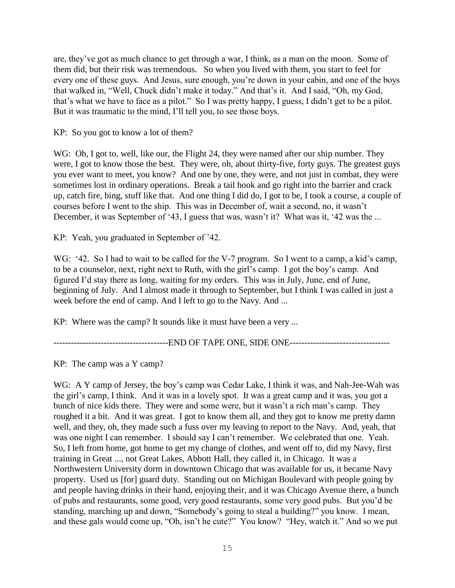are, they've got as much chance to get through a war, I think, as a man on the moon. Some of them did, but their risk was tremendous. So when you lived with them, you start to feel for every one of these guys. And Jesus, sure enough, you're down in your cabin, and one of the boys that walked in, "Well, Chuck didn't make it today." And that's it. And I said, "Oh, my God, that's what we have to face as a pilot." So I was pretty happy, I guess, I didn't get to be a pilot. But it was traumatic to the mind, I'll tell you, to see those boys.

KP: So you got to know a lot of them?

WG: Oh, I got to, well, like our, the Flight 24, they were named after our ship number. They were, I got to know those the best. They were, oh, about thirty-five, forty guys. The greatest guys you ever want to meet, you know? And one by one, they were, and not just in combat, they were sometimes lost in ordinary operations. Break a tail hook and go right into the barrier and crack up, catch fire, bing, stuff like that. And one thing I did do, I got to be, I took a course, a couple of courses before I went to the ship. This was in December of, wait a second, no, it wasn't December, it was September of '43, I guess that was, wasn't it? What was it, '42 was the ...

KP: Yeah, you graduated in September of '42.

WG: '42. So I had to wait to be called for the V-7 program. So I went to a camp, a kid's camp, to be a counselor, next, right next to Ruth, with the girl's camp. I got the boy's camp. And figured I'd stay there as long, waiting for my orders. This was in July, June, end of June, beginning of July. And I almost made it through to September, but I think I was called in just a week before the end of camp. And I left to go to the Navy. And ...

KP: Where was the camp? It sounds like it must have been a very ...

--------------------------END OF TAPE ONE, SIDE ONE-----------------------------

KP: The camp was a Y camp?

WG: A Y camp of Jersey, the boy's camp was Cedar Lake, I think it was, and Nah-Jee-Wah was the girl's camp, I think. And it was in a lovely spot. It was a great camp and it was, you got a bunch of nice kids there. They were and some were, but it wasn't a rich man's camp. They roughed it a bit. And it was great. I got to know them all, and they got to know me pretty damn well, and they, oh, they made such a fuss over my leaving to report to the Navy. And, yeah, that was one night I can remember. I should say I can't remember. We celebrated that one. Yeah. So, I left from home, got home to get my change of clothes, and went off to, did my Navy, first training in Great ..., not Great Lakes, Abbott Hall, they called it, in Chicago. It was a Northwestern University dorm in downtown Chicago that was available for us, it became Navy property. Used us [for] guard duty. Standing out on Michigan Boulevard with people going by and people having drinks in their hand, enjoying their, and it was Chicago Avenue there, a bunch of pubs and restaurants, some good, very good restaurants, some very good pubs. But you'd be standing, marching up and down, "Somebody's going to steal a building?" you know. I mean, and these gals would come up, "Oh, isn't he cute?" You know? "Hey, watch it." And so we put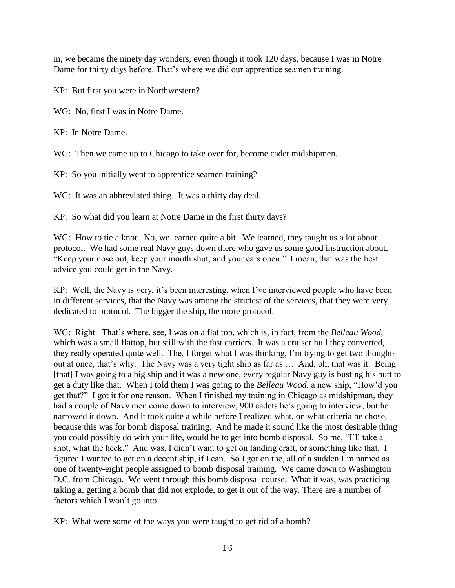in, we became the ninety day wonders, even though it took 120 days, because I was in Notre Dame for thirty days before. That's where we did our apprentice seamen training.

KP: But first you were in Northwestern?

WG: No, first I was in Notre Dame.

KP: In Notre Dame.

WG: Then we came up to Chicago to take over for, become cadet midshipmen.

KP: So you initially went to apprentice seamen training?

WG: It was an abbreviated thing. It was a thirty day deal.

KP: So what did you learn at Notre Dame in the first thirty days?

WG: How to tie a knot. No, we learned quite a bit. We learned, they taught us a lot about protocol. We had some real Navy guys down there who gave us some good instruction about, "Keep your nose out, keep your mouth shut, and your ears open." I mean, that was the best advice you could get in the Navy.

KP: Well, the Navy is very, it's been interesting, when I've interviewed people who have been in different services, that the Navy was among the strictest of the services, that they were very dedicated to protocol. The bigger the ship, the more protocol.

WG: Right. That's where, see, I was on a flat top, which is, in fact, from the *Belleau Wood*, which was a small flattop, but still with the fast carriers. It was a cruiser hull they converted, they really operated quite well. The, I forget what I was thinking, I'm trying to get two thoughts out at once, that's why. The Navy was a very tight ship as far as … And, oh, that was it. Being [that] I was going to a big ship and it was a new one, every regular Navy guy is busting his butt to get a duty like that. When I told them I was going to the *Belleau Wood*, a new ship, "How'd you get that?" I got it for one reason. When I finished my training in Chicago as midshipman, they had a couple of Navy men come down to interview, 900 cadets he's going to interview, but he narrowed it down. And it took quite a while before I realized what, on what criteria he chose, because this was for bomb disposal training. And he made it sound like the most desirable thing you could possibly do with your life, would be to get into bomb disposal. So me, "I'll take a shot, what the heck." And was, I didn't want to get on landing craft, or something like that. I figured I wanted to get on a decent ship, if I can. So I got on the, all of a sudden I'm named as one of twenty-eight people assigned to bomb disposal training. We came down to Washington D.C. from Chicago. We went through this bomb disposal course. What it was, was practicing taking a, getting a bomb that did not explode, to get it out of the way. There are a number of factors which I won't go into.

KP: What were some of the ways you were taught to get rid of a bomb?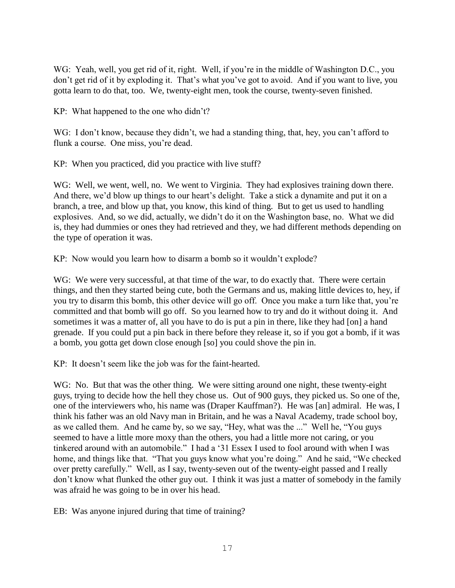WG: Yeah, well, you get rid of it, right. Well, if you're in the middle of Washington D.C., you don't get rid of it by exploding it. That's what you've got to avoid. And if you want to live, you gotta learn to do that, too. We, twenty-eight men, took the course, twenty-seven finished.

KP: What happened to the one who didn't?

WG: I don't know, because they didn't, we had a standing thing, that, hey, you can't afford to flunk a course. One miss, you're dead.

KP: When you practiced, did you practice with live stuff?

WG: Well, we went, well, no. We went to Virginia. They had explosives training down there. And there, we'd blow up things to our heart's delight. Take a stick a dynamite and put it on a branch, a tree, and blow up that, you know, this kind of thing. But to get us used to handling explosives. And, so we did, actually, we didn't do it on the Washington base, no. What we did is, they had dummies or ones they had retrieved and they, we had different methods depending on the type of operation it was.

KP: Now would you learn how to disarm a bomb so it wouldn't explode?

WG: We were very successful, at that time of the war, to do exactly that. There were certain things, and then they started being cute, both the Germans and us, making little devices to, hey, if you try to disarm this bomb, this other device will go off. Once you make a turn like that, you're committed and that bomb will go off. So you learned how to try and do it without doing it. And sometimes it was a matter of, all you have to do is put a pin in there, like they had [on] a hand grenade. If you could put a pin back in there before they release it, so if you got a bomb, if it was a bomb, you gotta get down close enough [so] you could shove the pin in.

KP: It doesn't seem like the job was for the faint-hearted.

WG: No. But that was the other thing. We were sitting around one night, these twenty-eight guys, trying to decide how the hell they chose us. Out of 900 guys, they picked us. So one of the, one of the interviewers who, his name was (Draper Kauffman?). He was [an] admiral. He was, I think his father was an old Navy man in Britain, and he was a Naval Academy, trade school boy, as we called them. And he came by, so we say, "Hey, what was the ..." Well he, "You guys seemed to have a little more moxy than the others, you had a little more not caring, or you tinkered around with an automobile." I had a '31 Essex I used to fool around with when I was home, and things like that. "That you guys know what you're doing." And he said, "We checked over pretty carefully." Well, as I say, twenty-seven out of the twenty-eight passed and I really don't know what flunked the other guy out. I think it was just a matter of somebody in the family was afraid he was going to be in over his head.

EB: Was anyone injured during that time of training?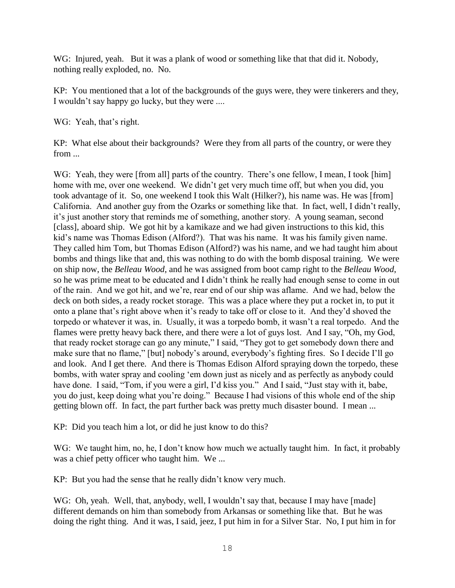WG: Injured, yeah. But it was a plank of wood or something like that that did it. Nobody, nothing really exploded, no. No.

KP: You mentioned that a lot of the backgrounds of the guys were, they were tinkerers and they, I wouldn't say happy go lucky, but they were ....

WG: Yeah, that's right.

KP: What else about their backgrounds? Were they from all parts of the country, or were they from ...

WG: Yeah, they were [from all] parts of the country. There's one fellow, I mean, I took [him] home with me, over one weekend. We didn't get very much time off, but when you did, you took advantage of it. So, one weekend I took this Walt (Hilker?), his name was. He was [from] California. And another guy from the Ozarks or something like that. In fact, well, I didn't really, it's just another story that reminds me of something, another story. A young seaman, second [class], aboard ship. We got hit by a kamikaze and we had given instructions to this kid, this kid's name was Thomas Edison (Alford?). That was his name. It was his family given name. They called him Tom, but Thomas Edison (Alford?) was his name, and we had taught him about bombs and things like that and, this was nothing to do with the bomb disposal training. We were on ship now, the *Belleau Wood*, and he was assigned from boot camp right to the *Belleau Wood*, so he was prime meat to be educated and I didn't think he really had enough sense to come in out of the rain. And we got hit, and we're, rear end of our ship was aflame. And we had, below the deck on both sides, a ready rocket storage. This was a place where they put a rocket in, to put it onto a plane that's right above when it's ready to take off or close to it. And they'd shoved the torpedo or whatever it was, in. Usually, it was a torpedo bomb, it wasn't a real torpedo. And the flames were pretty heavy back there, and there were a lot of guys lost. And I say, "Oh, my God, that ready rocket storage can go any minute," I said, "They got to get somebody down there and make sure that no flame," [but] nobody's around, everybody's fighting fires. So I decide I'll go and look. And I get there. And there is Thomas Edison Alford spraying down the torpedo, these bombs, with water spray and cooling 'em down just as nicely and as perfectly as anybody could have done. I said, "Tom, if you were a girl, I'd kiss you." And I said, "Just stay with it, babe, you do just, keep doing what you're doing." Because I had visions of this whole end of the ship getting blown off. In fact, the part further back was pretty much disaster bound. I mean ...

KP: Did you teach him a lot, or did he just know to do this?

WG: We taught him, no, he, I don't know how much we actually taught him. In fact, it probably was a chief petty officer who taught him. We ...

KP: But you had the sense that he really didn't know very much.

WG: Oh, yeah. Well, that, anybody, well, I wouldn't say that, because I may have [made] different demands on him than somebody from Arkansas or something like that. But he was doing the right thing. And it was, I said, jeez, I put him in for a Silver Star. No, I put him in for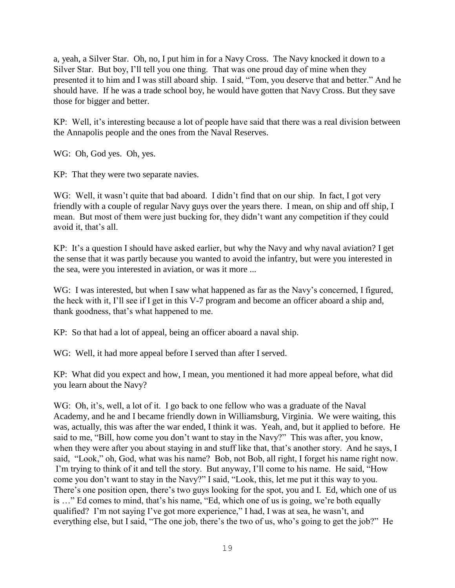a, yeah, a Silver Star. Oh, no, I put him in for a Navy Cross. The Navy knocked it down to a Silver Star. But boy, I'll tell you one thing. That was one proud day of mine when they presented it to him and I was still aboard ship. I said, "Tom, you deserve that and better." And he should have. If he was a trade school boy, he would have gotten that Navy Cross. But they save those for bigger and better.

KP: Well, it's interesting because a lot of people have said that there was a real division between the Annapolis people and the ones from the Naval Reserves.

WG: Oh, God yes. Oh, yes.

KP: That they were two separate navies.

WG: Well, it wasn't quite that bad aboard. I didn't find that on our ship. In fact, I got very friendly with a couple of regular Navy guys over the years there. I mean, on ship and off ship, I mean. But most of them were just bucking for, they didn't want any competition if they could avoid it, that's all.

KP: It's a question I should have asked earlier, but why the Navy and why naval aviation? I get the sense that it was partly because you wanted to avoid the infantry, but were you interested in the sea, were you interested in aviation, or was it more ...

WG: I was interested, but when I saw what happened as far as the Navy's concerned, I figured, the heck with it, I'll see if I get in this V-7 program and become an officer aboard a ship and, thank goodness, that's what happened to me.

KP: So that had a lot of appeal, being an officer aboard a naval ship.

WG: Well, it had more appeal before I served than after I served.

KP: What did you expect and how, I mean, you mentioned it had more appeal before, what did you learn about the Navy?

WG: Oh, it's, well, a lot of it. I go back to one fellow who was a graduate of the Naval Academy, and he and I became friendly down in Williamsburg, Virginia. We were waiting, this was, actually, this was after the war ended, I think it was. Yeah, and, but it applied to before. He said to me, "Bill, how come you don't want to stay in the Navy?" This was after, you know, when they were after you about staying in and stuff like that, that's another story. And he says, I said, "Look," oh, God, what was his name? Bob, not Bob, all right, I forget his name right now. I'm trying to think of it and tell the story. But anyway, I'll come to his name. He said, "How come you don't want to stay in the Navy?" I said, "Look, this, let me put it this way to you. There's one position open, there's two guys looking for the spot, you and I. Ed, which one of us is …" Ed comes to mind, that's his name, "Ed, which one of us is going, we're both equally qualified? I'm not saying I've got more experience," I had, I was at sea, he wasn't, and everything else, but I said, "The one job, there's the two of us, who's going to get the job?" He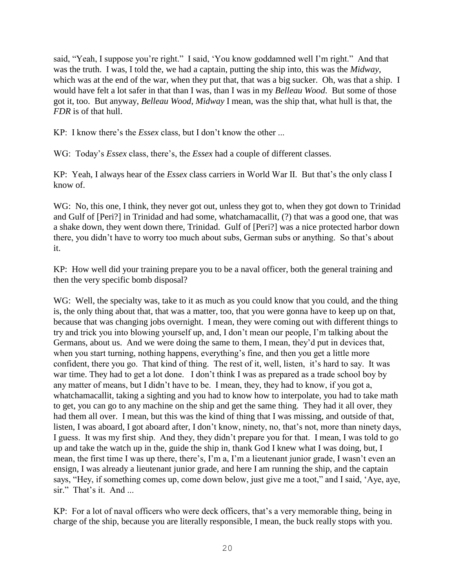said, "Yeah, I suppose you're right." I said, 'You know goddamned well I'm right." And that was the truth. I was, I told the, we had a captain, putting the ship into, this was the *Midway*, which was at the end of the war, when they put that, that was a big sucker. Oh, was that a ship. I would have felt a lot safer in that than I was, than I was in my *Belleau Wood*. But some of those got it, too. But anyway, *Belleau Wood*, *Midway* I mean, was the ship that, what hull is that, the *FDR* is of that hull.

KP: I know there's the *Essex* class, but I don't know the other ...

WG: Today's *Essex* class, there's, the *Essex* had a couple of different classes.

KP: Yeah, I always hear of the *Essex* class carriers in World War II. But that's the only class I know of.

WG: No, this one, I think, they never got out, unless they got to, when they got down to Trinidad and Gulf of [Peri?] in Trinidad and had some, whatchamacallit, (?) that was a good one, that was a shake down, they went down there, Trinidad. Gulf of [Peri?] was a nice protected harbor down there, you didn't have to worry too much about subs, German subs or anything. So that's about it.

KP: How well did your training prepare you to be a naval officer, both the general training and then the very specific bomb disposal?

WG: Well, the specialty was, take to it as much as you could know that you could, and the thing is, the only thing about that, that was a matter, too, that you were gonna have to keep up on that, because that was changing jobs overnight. I mean, they were coming out with different things to try and trick you into blowing yourself up, and, I don't mean our people, I'm talking about the Germans, about us. And we were doing the same to them, I mean, they'd put in devices that, when you start turning, nothing happens, everything's fine, and then you get a little more confident, there you go. That kind of thing. The rest of it, well, listen, it's hard to say. It was war time. They had to get a lot done. I don't think I was as prepared as a trade school boy by any matter of means, but I didn't have to be. I mean, they, they had to know, if you got a, whatchamacallit, taking a sighting and you had to know how to interpolate, you had to take math to get, you can go to any machine on the ship and get the same thing. They had it all over, they had them all over. I mean, but this was the kind of thing that I was missing, and outside of that, listen, I was aboard, I got aboard after, I don't know, ninety, no, that's not, more than ninety days, I guess. It was my first ship. And they, they didn't prepare you for that. I mean, I was told to go up and take the watch up in the, guide the ship in, thank God I knew what I was doing, but, I mean, the first time I was up there, there's, I'm a, I'm a lieutenant junior grade, I wasn't even an ensign, I was already a lieutenant junior grade, and here I am running the ship, and the captain says, "Hey, if something comes up, come down below, just give me a toot," and I said, 'Aye, aye, sir." That's it. And ...

KP: For a lot of naval officers who were deck officers, that's a very memorable thing, being in charge of the ship, because you are literally responsible, I mean, the buck really stops with you.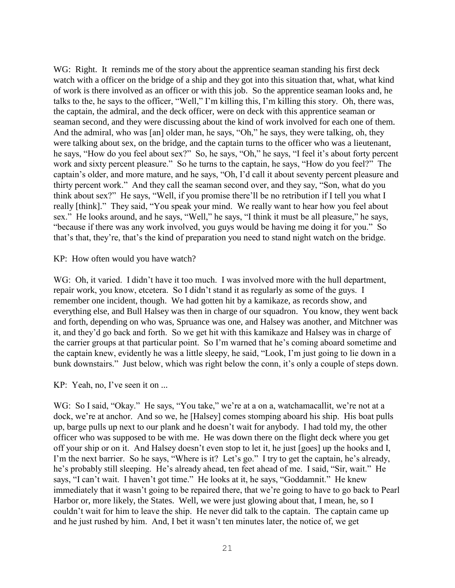WG: Right. It reminds me of the story about the apprentice seaman standing his first deck watch with a officer on the bridge of a ship and they got into this situation that, what, what kind of work is there involved as an officer or with this job. So the apprentice seaman looks and, he talks to the, he says to the officer, "Well," I'm killing this, I'm killing this story. Oh, there was, the captain, the admiral, and the deck officer, were on deck with this apprentice seaman or seaman second, and they were discussing about the kind of work involved for each one of them. And the admiral, who was [an] older man, he says, "Oh," he says, they were talking, oh, they were talking about sex, on the bridge, and the captain turns to the officer who was a lieutenant, he says, "How do you feel about sex?" So, he says, "Oh," he says, "I feel it's about forty percent work and sixty percent pleasure." So he turns to the captain, he says, "How do you feel?" The captain's older, and more mature, and he says, "Oh, I'd call it about seventy percent pleasure and thirty percent work." And they call the seaman second over, and they say, "Son, what do you think about sex?" He says, "Well, if you promise there'll be no retribution if I tell you what I really [think]." They said, "You speak your mind. We really want to hear how you feel about sex." He looks around, and he says, "Well," he says, "I think it must be all pleasure," he says, "because if there was any work involved, you guys would be having me doing it for you." So that's that, they're, that's the kind of preparation you need to stand night watch on the bridge.

KP: How often would you have watch?

WG: Oh, it varied. I didn't have it too much. I was involved more with the hull department, repair work, you know, etcetera. So I didn't stand it as regularly as some of the guys. I remember one incident, though. We had gotten hit by a kamikaze, as records show, and everything else, and Bull Halsey was then in charge of our squadron. You know, they went back and forth, depending on who was, Spruance was one, and Halsey was another, and Mitchner was it, and they'd go back and forth. So we get hit with this kamikaze and Halsey was in charge of the carrier groups at that particular point. So I'm warned that he's coming aboard sometime and the captain knew, evidently he was a little sleepy, he said, "Look, I'm just going to lie down in a bunk downstairs." Just below, which was right below the conn, it's only a couple of steps down.

KP: Yeah, no, I've seen it on ...

WG: So I said, "Okay." He says, "You take," we're at a on a, watchamacallit, we're not at a dock, we're at anchor. And so we, he [Halsey] comes stomping aboard his ship. His boat pulls up, barge pulls up next to our plank and he doesn't wait for anybody. I had told my, the other officer who was supposed to be with me. He was down there on the flight deck where you get off your ship or on it. And Halsey doesn't even stop to let it, he just [goes] up the hooks and I, I'm the next barrier. So he says, "Where is it? Let's go." I try to get the captain, he's already, he's probably still sleeping. He's already ahead, ten feet ahead of me. I said, "Sir, wait." He says, "I can't wait. I haven't got time." He looks at it, he says, "Goddamnit." He knew immediately that it wasn't going to be repaired there, that we're going to have to go back to Pearl Harbor or, more likely, the States. Well, we were just glowing about that, I mean, he, so I couldn't wait for him to leave the ship. He never did talk to the captain. The captain came up and he just rushed by him. And, I bet it wasn't ten minutes later, the notice of, we get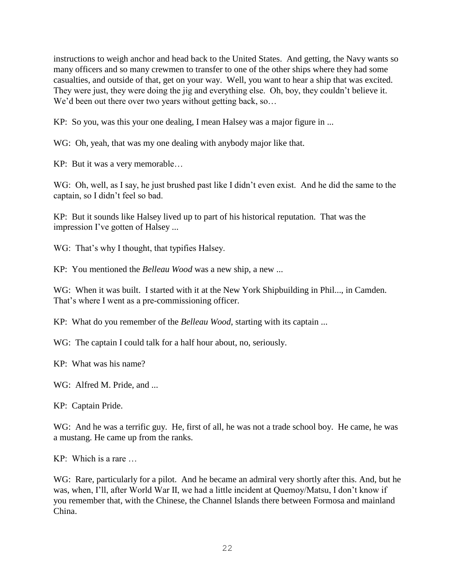instructions to weigh anchor and head back to the United States. And getting, the Navy wants so many officers and so many crewmen to transfer to one of the other ships where they had some casualties, and outside of that, get on your way. Well, you want to hear a ship that was excited. They were just, they were doing the jig and everything else. Oh, boy, they couldn't believe it. We'd been out there over two years without getting back, so...

KP: So you, was this your one dealing, I mean Halsey was a major figure in ...

WG: Oh, yeah, that was my one dealing with anybody major like that.

KP: But it was a very memorable…

WG: Oh, well, as I say, he just brushed past like I didn't even exist. And he did the same to the captain, so I didn't feel so bad.

KP: But it sounds like Halsey lived up to part of his historical reputation. That was the impression I've gotten of Halsey ...

WG: That's why I thought, that typifies Halsey.

KP: You mentioned the *Belleau Wood* was a new ship, a new ...

WG: When it was built. I started with it at the New York Shipbuilding in Phil..., in Camden. That's where I went as a pre-commissioning officer.

KP: What do you remember of the *Belleau Wood*, starting with its captain ...

WG: The captain I could talk for a half hour about, no, seriously.

KP: What was his name?

WG: Alfred M. Pride, and ...

KP: Captain Pride.

WG: And he was a terrific guy. He, first of all, he was not a trade school boy. He came, he was a mustang. He came up from the ranks.

KP: Which is a rare …

WG: Rare, particularly for a pilot. And he became an admiral very shortly after this. And, but he was, when, I'll, after World War II, we had a little incident at Quemoy/Matsu, I don't know if you remember that, with the Chinese, the Channel Islands there between Formosa and mainland China.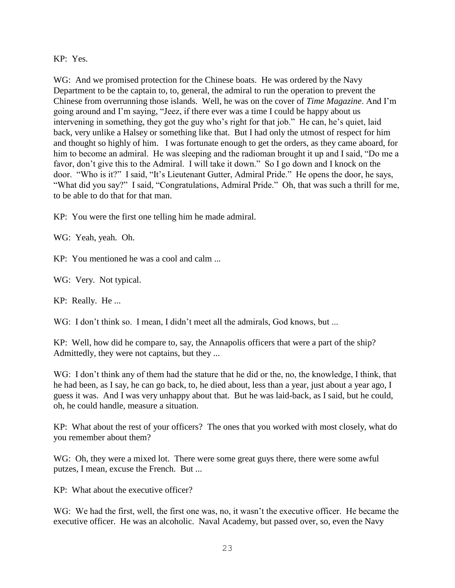KP: Yes.

WG: And we promised protection for the Chinese boats. He was ordered by the Navy Department to be the captain to, to, general, the admiral to run the operation to prevent the Chinese from overrunning those islands. Well, he was on the cover of *Time Magazine*. And I'm going around and I'm saying, "Jeez, if there ever was a time I could be happy about us intervening in something, they got the guy who's right for that job." He can, he's quiet, laid back, very unlike a Halsey or something like that. But I had only the utmost of respect for him and thought so highly of him. I was fortunate enough to get the orders, as they came aboard, for him to become an admiral. He was sleeping and the radioman brought it up and I said, "Do me a favor, don't give this to the Admiral. I will take it down." So I go down and I knock on the door. "Who is it?" I said, "It's Lieutenant Gutter, Admiral Pride." He opens the door, he says, "What did you say?" I said, "Congratulations, Admiral Pride." Oh, that was such a thrill for me, to be able to do that for that man.

KP: You were the first one telling him he made admiral.

WG: Yeah, yeah. Oh.

KP: You mentioned he was a cool and calm ...

WG: Very. Not typical.

KP: Really. He ...

WG: I don't think so. I mean, I didn't meet all the admirals, God knows, but ...

KP: Well, how did he compare to, say, the Annapolis officers that were a part of the ship? Admittedly, they were not captains, but they ...

WG: I don't think any of them had the stature that he did or the, no, the knowledge, I think, that he had been, as I say, he can go back, to, he died about, less than a year, just about a year ago, I guess it was. And I was very unhappy about that. But he was laid-back, as I said, but he could, oh, he could handle, measure a situation.

KP: What about the rest of your officers? The ones that you worked with most closely, what do you remember about them?

WG: Oh, they were a mixed lot. There were some great guys there, there were some awful putzes, I mean, excuse the French. But ...

KP: What about the executive officer?

WG: We had the first, well, the first one was, no, it wasn't the executive officer. He became the executive officer. He was an alcoholic. Naval Academy, but passed over, so, even the Navy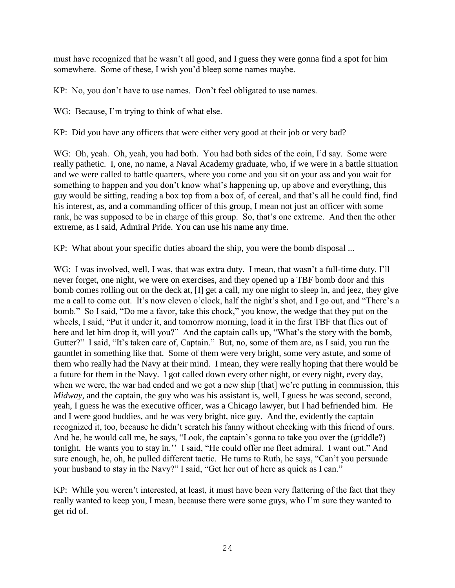must have recognized that he wasn't all good, and I guess they were gonna find a spot for him somewhere. Some of these, I wish you'd bleep some names maybe.

KP: No, you don't have to use names. Don't feel obligated to use names.

WG: Because, I'm trying to think of what else.

KP: Did you have any officers that were either very good at their job or very bad?

WG: Oh, yeah. Oh, yeah, you had both. You had both sides of the coin, I'd say. Some were really pathetic. I, one, no name, a Naval Academy graduate, who, if we were in a battle situation and we were called to battle quarters, where you come and you sit on your ass and you wait for something to happen and you don't know what's happening up, up above and everything, this guy would be sitting, reading a box top from a box of, of cereal, and that's all he could find, find his interest, as, and a commanding officer of this group, I mean not just an officer with some rank, he was supposed to be in charge of this group. So, that's one extreme. And then the other extreme, as I said, Admiral Pride. You can use his name any time.

KP: What about your specific duties aboard the ship, you were the bomb disposal ...

WG: I was involved, well, I was, that was extra duty. I mean, that wasn't a full-time duty. I'll never forget, one night, we were on exercises, and they opened up a TBF bomb door and this bomb comes rolling out on the deck at, [I] get a call, my one night to sleep in, and jeez, they give me a call to come out. It's now eleven o'clock, half the night's shot, and I go out, and "There's a bomb." So I said, "Do me a favor, take this chock," you know, the wedge that they put on the wheels, I said, "Put it under it, and tomorrow morning, load it in the first TBF that flies out of here and let him drop it, will you?" And the captain calls up, "What's the story with the bomb, Gutter?" I said, "It's taken care of, Captain." But, no, some of them are, as I said, you run the gauntlet in something like that. Some of them were very bright, some very astute, and some of them who really had the Navy at their mind. I mean, they were really hoping that there would be a future for them in the Navy. I got called down every other night, or every night, every day, when we were, the war had ended and we got a new ship [that] we're putting in commission, this *Midway*, and the captain, the guy who was his assistant is, well, I guess he was second, second, yeah, I guess he was the executive officer, was a Chicago lawyer, but I had befriended him. He and I were good buddies, and he was very bright, nice guy. And the, evidently the captain recognized it, too, because he didn't scratch his fanny without checking with this friend of ours. And he, he would call me, he says, "Look, the captain's gonna to take you over the (griddle?) tonight. He wants you to stay in.'' I said, "He could offer me fleet admiral. I want out." And sure enough, he, oh, he pulled different tactic. He turns to Ruth, he says, "Can't you persuade your husband to stay in the Navy?" I said, "Get her out of here as quick as I can."

KP: While you weren't interested, at least, it must have been very flattering of the fact that they really wanted to keep you, I mean, because there were some guys, who I'm sure they wanted to get rid of.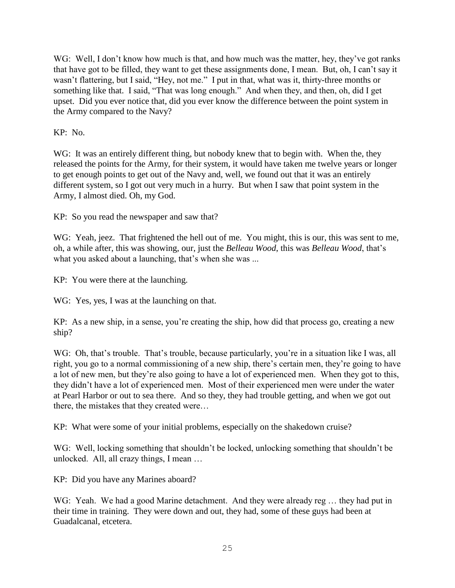WG: Well, I don't know how much is that, and how much was the matter, hey, they've got ranks that have got to be filled, they want to get these assignments done, I mean. But, oh, I can't say it wasn't flattering, but I said, "Hey, not me." I put in that, what was it, thirty-three months or something like that. I said, "That was long enough." And when they, and then, oh, did I get upset. Did you ever notice that, did you ever know the difference between the point system in the Army compared to the Navy?

KP: No.

WG: It was an entirely different thing, but nobody knew that to begin with. When the, they released the points for the Army, for their system, it would have taken me twelve years or longer to get enough points to get out of the Navy and, well, we found out that it was an entirely different system, so I got out very much in a hurry. But when I saw that point system in the Army, I almost died. Oh, my God.

KP: So you read the newspaper and saw that?

WG: Yeah, jeez. That frightened the hell out of me. You might, this is our, this was sent to me, oh, a while after, this was showing, our, just the *Belleau Wood*, this was *Belleau Wood*, that's what you asked about a launching, that's when she was ...

KP: You were there at the launching.

WG: Yes, yes, I was at the launching on that.

KP: As a new ship, in a sense, you're creating the ship, how did that process go, creating a new ship?

WG: Oh, that's trouble. That's trouble, because particularly, you're in a situation like I was, all right, you go to a normal commissioning of a new ship, there's certain men, they're going to have a lot of new men, but they're also going to have a lot of experienced men. When they got to this, they didn't have a lot of experienced men. Most of their experienced men were under the water at Pearl Harbor or out to sea there. And so they, they had trouble getting, and when we got out there, the mistakes that they created were…

KP: What were some of your initial problems, especially on the shakedown cruise?

WG: Well, locking something that shouldn't be locked, unlocking something that shouldn't be unlocked. All, all crazy things, I mean …

KP: Did you have any Marines aboard?

WG: Yeah. We had a good Marine detachment. And they were already reg ... they had put in their time in training. They were down and out, they had, some of these guys had been at Guadalcanal, etcetera.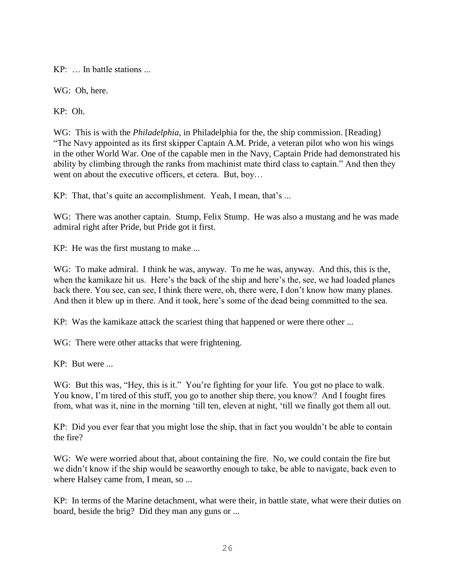KP: … In battle stations ...

WG: Oh, here.

KP: Oh.

WG: This is with the *Philadelphia*, in Philadelphia for the, the ship commission. [Reading] "The Navy appointed as its first skipper Captain A.M. Pride, a veteran pilot who won his wings in the other World War. One of the capable men in the Navy, Captain Pride had demonstrated his ability by climbing through the ranks from machinist mate third class to captain." And then they went on about the executive officers, et cetera. But, boy…

KP: That, that's quite an accomplishment. Yeah, I mean, that's ...

WG: There was another captain. Stump, Felix Stump. He was also a mustang and he was made admiral right after Pride, but Pride got it first.

KP: He was the first mustang to make ...

WG: To make admiral. I think he was, anyway. To me he was, anyway. And this, this is the, when the kamikaze hit us. Here's the back of the ship and here's the, see, we had loaded planes back there. You see, can see, I think there were, oh, there were, I don't know how many planes. And then it blew up in there. And it took, here's some of the dead being committed to the sea.

KP: Was the kamikaze attack the scariest thing that happened or were there other ...

WG: There were other attacks that were frightening.

KP: But were ...

WG: But this was, "Hey, this is it." You're fighting for your life. You got no place to walk. You know, I'm tired of this stuff, you go to another ship there, you know? And I fought fires from, what was it, nine in the morning 'till ten, eleven at night, 'till we finally got them all out.

KP: Did you ever fear that you might lose the ship, that in fact you wouldn't be able to contain the fire?

WG: We were worried about that, about containing the fire. No, we could contain the fire but we didn't know if the ship would be seaworthy enough to take, be able to navigate, back even to where Halsey came from, I mean, so ...

KP: In terms of the Marine detachment, what were their, in battle state, what were their duties on board, beside the brig? Did they man any guns or ...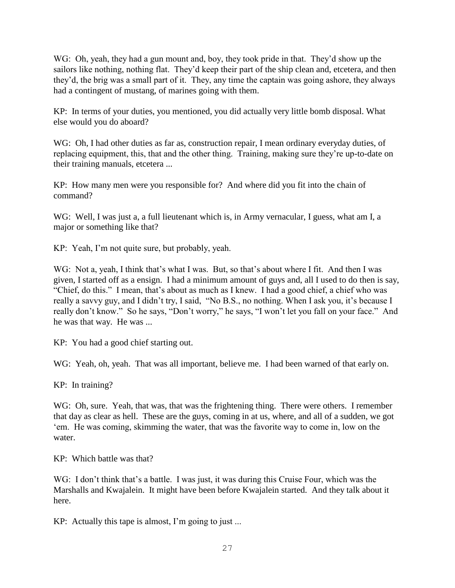WG: Oh, yeah, they had a gun mount and, boy, they took pride in that. They'd show up the sailors like nothing, nothing flat. They'd keep their part of the ship clean and, etcetera, and then they'd, the brig was a small part of it. They, any time the captain was going ashore, they always had a contingent of mustang, of marines going with them.

KP: In terms of your duties, you mentioned, you did actually very little bomb disposal. What else would you do aboard?

WG: Oh, I had other duties as far as, construction repair, I mean ordinary everyday duties, of replacing equipment, this, that and the other thing. Training, making sure they're up-to-date on their training manuals, etcetera ...

KP: How many men were you responsible for? And where did you fit into the chain of command?

WG: Well, I was just a, a full lieutenant which is, in Army vernacular, I guess, what am I, a major or something like that?

KP: Yeah, I'm not quite sure, but probably, yeah.

WG: Not a, yeah, I think that's what I was. But, so that's about where I fit. And then I was given, I started off as a ensign. I had a minimum amount of guys and, all I used to do then is say, "Chief, do this." I mean, that's about as much as I knew. I had a good chief, a chief who was really a savvy guy, and I didn't try, I said, "No B.S., no nothing. When I ask you, it's because I really don't know." So he says, "Don't worry," he says, "I won't let you fall on your face." And he was that way. He was ...

KP: You had a good chief starting out.

WG: Yeah, oh, yeah. That was all important, believe me. I had been warned of that early on.

KP: In training?

WG: Oh, sure. Yeah, that was, that was the frightening thing. There were others. I remember that day as clear as hell. These are the guys, coming in at us, where, and all of a sudden, we got 'em. He was coming, skimming the water, that was the favorite way to come in, low on the water.

KP: Which battle was that?

WG: I don't think that's a battle. I was just, it was during this Cruise Four, which was the Marshalls and Kwajalein. It might have been before Kwajalein started. And they talk about it here.

KP: Actually this tape is almost, I'm going to just ...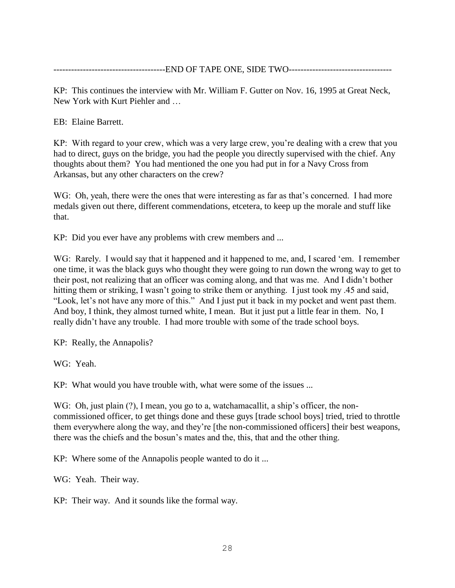---------------END OF TAPE ONE, SIDE TWO------------

KP: This continues the interview with Mr. William F. Gutter on Nov. 16, 1995 at Great Neck, New York with Kurt Piehler and …

EB: Elaine Barrett.

KP: With regard to your crew, which was a very large crew, you're dealing with a crew that you had to direct, guys on the bridge, you had the people you directly supervised with the chief. Any thoughts about them? You had mentioned the one you had put in for a Navy Cross from Arkansas, but any other characters on the crew?

WG: Oh, yeah, there were the ones that were interesting as far as that's concerned. I had more medals given out there, different commendations, etcetera, to keep up the morale and stuff like that.

KP: Did you ever have any problems with crew members and ...

WG: Rarely. I would say that it happened and it happened to me, and, I scared 'em. I remember one time, it was the black guys who thought they were going to run down the wrong way to get to their post, not realizing that an officer was coming along, and that was me. And I didn't bother hitting them or striking, I wasn't going to strike them or anything. I just took my .45 and said, "Look, let's not have any more of this." And I just put it back in my pocket and went past them. And boy, I think, they almost turned white, I mean. But it just put a little fear in them. No, I really didn't have any trouble. I had more trouble with some of the trade school boys.

KP: Really, the Annapolis?

WG: Yeah.

KP: What would you have trouble with, what were some of the issues ...

WG: Oh, just plain (?), I mean, you go to a, watchamacallit, a ship's officer, the noncommissioned officer, to get things done and these guys [trade school boys] tried, tried to throttle them everywhere along the way, and they're [the non-commissioned officers] their best weapons, there was the chiefs and the bosun's mates and the, this, that and the other thing.

KP: Where some of the Annapolis people wanted to do it ...

WG: Yeah. Their way.

KP: Their way. And it sounds like the formal way.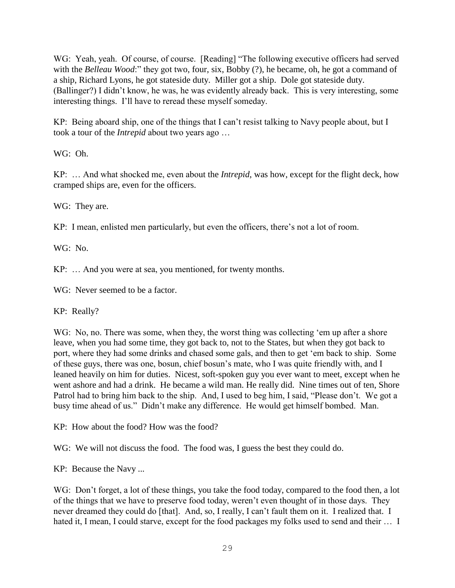WG: Yeah, yeah. Of course, of course. [Reading] "The following executive officers had served with the *Belleau Wood*:" they got two, four, six, Bobby (?), he became, oh, he got a command of a ship, Richard Lyons, he got stateside duty. Miller got a ship. Dole got stateside duty. (Ballinger?) I didn't know, he was, he was evidently already back. This is very interesting, some interesting things. I'll have to reread these myself someday.

KP: Being aboard ship, one of the things that I can't resist talking to Navy people about, but I took a tour of the *Intrepid* about two years ago …

WG: Oh.

KP: … And what shocked me, even about the *Intrepid*, was how, except for the flight deck, how cramped ships are, even for the officers.

WG: They are.

KP: I mean, enlisted men particularly, but even the officers, there's not a lot of room.

WG: No.

KP: … And you were at sea, you mentioned, for twenty months.

WG: Never seemed to be a factor.

KP: Really?

WG: No, no. There was some, when they, the worst thing was collecting 'em up after a shore leave, when you had some time, they got back to, not to the States, but when they got back to port, where they had some drinks and chased some gals, and then to get 'em back to ship. Some of these guys, there was one, bosun, chief bosun's mate, who I was quite friendly with, and I leaned heavily on him for duties. Nicest, soft-spoken guy you ever want to meet, except when he went ashore and had a drink. He became a wild man. He really did. Nine times out of ten, Shore Patrol had to bring him back to the ship. And, I used to beg him, I said, "Please don't. We got a busy time ahead of us." Didn't make any difference. He would get himself bombed. Man.

KP: How about the food? How was the food?

WG: We will not discuss the food. The food was, I guess the best they could do.

KP: Because the Navy ...

WG: Don't forget, a lot of these things, you take the food today, compared to the food then, a lot of the things that we have to preserve food today, weren't even thought of in those days. They never dreamed they could do [that]. And, so, I really, I can't fault them on it. I realized that. I hated it, I mean, I could starve, except for the food packages my folks used to send and their ... I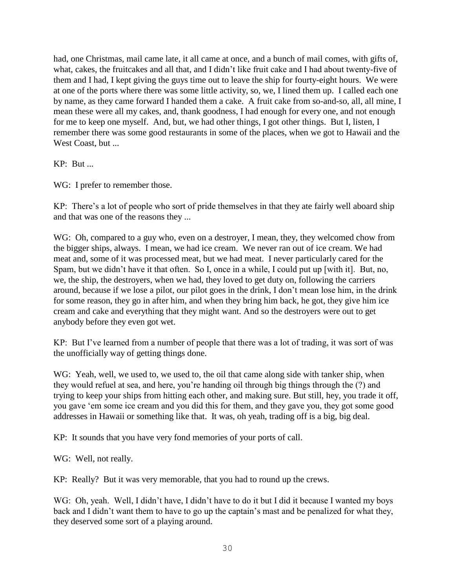had, one Christmas, mail came late, it all came at once, and a bunch of mail comes, with gifts of, what, cakes, the fruitcakes and all that, and I didn't like fruit cake and I had about twenty-five of them and I had, I kept giving the guys time out to leave the ship for fourty-eight hours. We were at one of the ports where there was some little activity, so, we, I lined them up. I called each one by name, as they came forward I handed them a cake. A fruit cake from so-and-so, all, all mine, I mean these were all my cakes, and, thank goodness, I had enough for every one, and not enough for me to keep one myself. And, but, we had other things, I got other things. But I, listen, I remember there was some good restaurants in some of the places, when we got to Hawaii and the West Coast, but ...

# KP: But ...

WG: I prefer to remember those.

KP: There's a lot of people who sort of pride themselves in that they ate fairly well aboard ship and that was one of the reasons they ...

WG: Oh, compared to a guy who, even on a destroyer, I mean, they, they welcomed chow from the bigger ships, always. I mean, we had ice cream. We never ran out of ice cream. We had meat and, some of it was processed meat, but we had meat. I never particularly cared for the Spam, but we didn't have it that often. So I, once in a while, I could put up [with it]. But, no, we, the ship, the destroyers, when we had, they loved to get duty on, following the carriers around, because if we lose a pilot, our pilot goes in the drink, I don't mean lose him, in the drink for some reason, they go in after him, and when they bring him back, he got, they give him ice cream and cake and everything that they might want. And so the destroyers were out to get anybody before they even got wet.

KP: But I've learned from a number of people that there was a lot of trading, it was sort of was the unofficially way of getting things done.

WG: Yeah, well, we used to, we used to, the oil that came along side with tanker ship, when they would refuel at sea, and here, you're handing oil through big things through the (?) and trying to keep your ships from hitting each other, and making sure. But still, hey, you trade it off, you gave 'em some ice cream and you did this for them, and they gave you, they got some good addresses in Hawaii or something like that. It was, oh yeah, trading off is a big, big deal.

KP: It sounds that you have very fond memories of your ports of call.

WG: Well, not really.

KP: Really? But it was very memorable, that you had to round up the crews.

WG: Oh, yeah. Well, I didn't have, I didn't have to do it but I did it because I wanted my boys back and I didn't want them to have to go up the captain's mast and be penalized for what they, they deserved some sort of a playing around.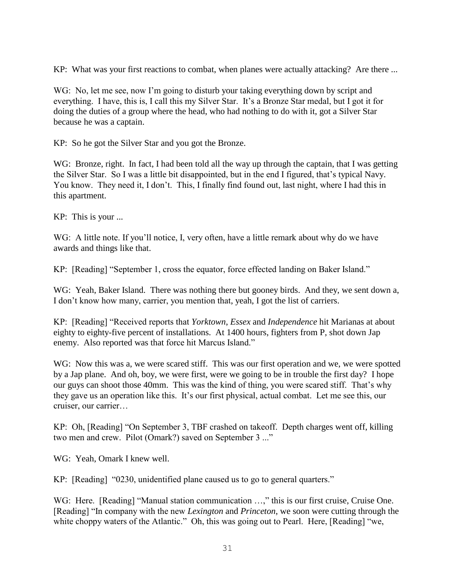KP: What was your first reactions to combat, when planes were actually attacking? Are there ...

WG: No, let me see, now I'm going to disturb your taking everything down by script and everything. I have, this is, I call this my Silver Star. It's a Bronze Star medal, but I got it for doing the duties of a group where the head, who had nothing to do with it, got a Silver Star because he was a captain.

KP: So he got the Silver Star and you got the Bronze.

WG: Bronze, right. In fact, I had been told all the way up through the captain, that I was getting the Silver Star. So I was a little bit disappointed, but in the end I figured, that's typical Navy. You know. They need it, I don't. This, I finally find found out, last night, where I had this in this apartment.

KP: This is your ...

WG: A little note. If you'll notice, I, very often, have a little remark about why do we have awards and things like that.

KP: [Reading] "September 1, cross the equator, force effected landing on Baker Island."

WG: Yeah, Baker Island. There was nothing there but gooney birds. And they, we sent down a, I don't know how many, carrier, you mention that, yeah, I got the list of carriers.

KP: [Reading] "Received reports that *Yorktown*, *Essex* and *Independence* hit Marianas at about eighty to eighty-five percent of installations. At 1400 hours, fighters from P, shot down Jap enemy. Also reported was that force hit Marcus Island."

WG: Now this was a, we were scared stiff. This was our first operation and we, we were spotted by a Jap plane. And oh, boy, we were first, were we going to be in trouble the first day? I hope our guys can shoot those 40mm. This was the kind of thing, you were scared stiff. That's why they gave us an operation like this. It's our first physical, actual combat. Let me see this, our cruiser, our carrier…

KP: Oh, [Reading] "On September 3, TBF crashed on takeoff. Depth charges went off, killing two men and crew. Pilot (Omark?) saved on September 3 ..."

WG: Yeah, Omark I knew well.

KP: [Reading] "0230, unidentified plane caused us to go to general quarters."

WG: Here. [Reading] "Manual station communication ...," this is our first cruise, Cruise One. [Reading] "In company with the new *Lexington* and *Princeton*, we soon were cutting through the white choppy waters of the Atlantic." Oh, this was going out to Pearl. Here, [Reading] "we,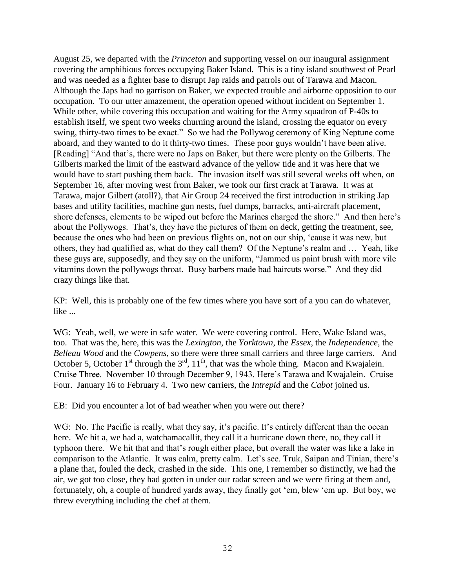August 25, we departed with the *Princeton* and supporting vessel on our inaugural assignment covering the amphibious forces occupying Baker Island. This is a tiny island southwest of Pearl and was needed as a fighter base to disrupt Jap raids and patrols out of Tarawa and Macon. Although the Japs had no garrison on Baker, we expected trouble and airborne opposition to our occupation. To our utter amazement, the operation opened without incident on September 1. While other, while covering this occupation and waiting for the Army squadron of P-40s to establish itself, we spent two weeks churning around the island, crossing the equator on every swing, thirty-two times to be exact." So we had the Pollywog ceremony of King Neptune come aboard, and they wanted to do it thirty-two times. These poor guys wouldn't have been alive. [Reading] "And that's, there were no Japs on Baker, but there were plenty on the Gilberts. The Gilberts marked the limit of the eastward advance of the yellow tide and it was here that we would have to start pushing them back. The invasion itself was still several weeks off when, on September 16, after moving west from Baker, we took our first crack at Tarawa. It was at Tarawa, major Gilbert (atoll?), that Air Group 24 received the first introduction in striking Jap bases and utility facilities, machine gun nests, fuel dumps, barracks, anti-aircraft placement, shore defenses, elements to be wiped out before the Marines charged the shore." And then here's about the Pollywogs. That's, they have the pictures of them on deck, getting the treatment, see, because the ones who had been on previous flights on, not on our ship, 'cause it was new, but others, they had qualified as, what do they call them? Of the Neptune's realm and … Yeah, like these guys are, supposedly, and they say on the uniform, "Jammed us paint brush with more vile vitamins down the pollywogs throat. Busy barbers made bad haircuts worse." And they did crazy things like that.

KP: Well, this is probably one of the few times where you have sort of a you can do whatever, like ...

WG: Yeah, well, we were in safe water. We were covering control. Here, Wake Island was, too. That was the, here, this was the *Lexington*, the *Yorktown*, the *Essex*, the *Independence*, the *Belleau Wood* and the *Cowpens*, so there were three small carriers and three large carriers. And October 5, October 1<sup>st</sup> through the  $3<sup>rd</sup>$ ,  $11<sup>th</sup>$ , that was the whole thing. Macon and Kwajalein. Cruise Three. November 10 through December 9, 1943. Here's Tarawa and Kwajalein. Cruise Four. January 16 to February 4. Two new carriers, the *Intrepid* and the *Cabot* joined us.

EB: Did you encounter a lot of bad weather when you were out there?

WG: No. The Pacific is really, what they say, it's pacific. It's entirely different than the ocean here. We hit a, we had a, watchamacallit, they call it a hurricane down there, no, they call it typhoon there. We hit that and that's rough either place, but overall the water was like a lake in comparison to the Atlantic. It was calm, pretty calm. Let's see. Truk, Saipan and Tinian, there's a plane that, fouled the deck, crashed in the side. This one, I remember so distinctly, we had the air, we got too close, they had gotten in under our radar screen and we were firing at them and, fortunately, oh, a couple of hundred yards away, they finally got 'em, blew 'em up. But boy, we threw everything including the chef at them.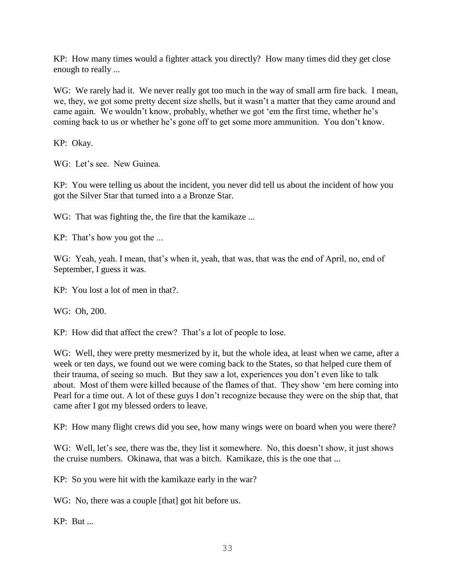KP: How many times would a fighter attack you directly? How many times did they get close enough to really ...

WG: We rarely had it. We never really got too much in the way of small arm fire back. I mean, we, they, we got some pretty decent size shells, but it wasn't a matter that they came around and came again. We wouldn't know, probably, whether we got 'em the first time, whether he's coming back to us or whether he's gone off to get some more ammunition. You don't know.

KP: Okay.

WG: Let's see. New Guinea.

KP: You were telling us about the incident, you never did tell us about the incident of how you got the Silver Star that turned into a a Bronze Star.

WG: That was fighting the, the fire that the kamikaze ...

KP: That's how you got the ...

WG: Yeah, yeah. I mean, that's when it, yeah, that was, that was the end of April, no, end of September, I guess it was.

KP: You lost a lot of men in that?.

WG: Oh, 200.

KP: How did that affect the crew? That's a lot of people to lose.

WG: Well, they were pretty mesmerized by it, but the whole idea, at least when we came, after a week or ten days, we found out we were coming back to the States, so that helped cure them of their trauma, of seeing so much. But they saw a lot, experiences you don't even like to talk about. Most of them were killed because of the flames of that. They show 'em here coming into Pearl for a time out. A lot of these guys I don't recognize because they were on the ship that, that came after I got my blessed orders to leave.

KP: How many flight crews did you see, how many wings were on board when you were there?

WG: Well, let's see, there was the, they list it somewhere. No, this doesn't show, it just shows the cruise numbers. Okinawa, that was a bitch. Kamikaze, this is the one that ...

KP: So you were hit with the kamikaze early in the war?

WG: No, there was a couple [that] got hit before us.

KP: But ...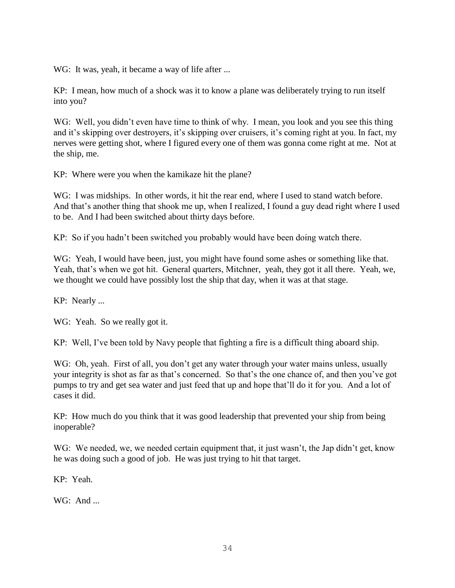WG: It was, yeah, it became a way of life after ...

KP: I mean, how much of a shock was it to know a plane was deliberately trying to run itself into you?

WG: Well, you didn't even have time to think of why. I mean, you look and you see this thing and it's skipping over destroyers, it's skipping over cruisers, it's coming right at you. In fact, my nerves were getting shot, where I figured every one of them was gonna come right at me. Not at the ship, me.

KP: Where were you when the kamikaze hit the plane?

WG: I was midships. In other words, it hit the rear end, where I used to stand watch before. And that's another thing that shook me up, when I realized, I found a guy dead right where I used to be. And I had been switched about thirty days before.

KP: So if you hadn't been switched you probably would have been doing watch there.

WG: Yeah, I would have been, just, you might have found some ashes or something like that. Yeah, that's when we got hit. General quarters, Mitchner, yeah, they got it all there. Yeah, we, we thought we could have possibly lost the ship that day, when it was at that stage.

KP: Nearly ...

WG: Yeah. So we really got it.

KP: Well, I've been told by Navy people that fighting a fire is a difficult thing aboard ship.

WG: Oh, yeah. First of all, you don't get any water through your water mains unless, usually your integrity is shot as far as that's concerned. So that's the one chance of, and then you've got pumps to try and get sea water and just feed that up and hope that'll do it for you. And a lot of cases it did.

KP: How much do you think that it was good leadership that prevented your ship from being inoperable?

WG: We needed, we, we needed certain equipment that, it just wasn't, the Jap didn't get, know he was doing such a good of job. He was just trying to hit that target.

KP: Yeah.

 $WG<sup>+</sup>$  And ...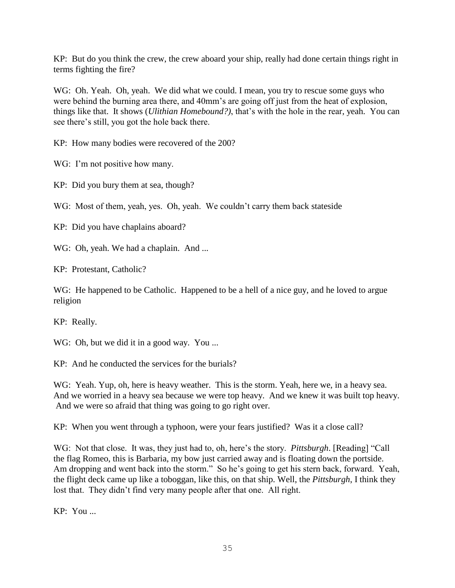KP: But do you think the crew, the crew aboard your ship, really had done certain things right in terms fighting the fire?

WG: Oh. Yeah. Oh, yeah. We did what we could. I mean, you try to rescue some guys who were behind the burning area there, and 40mm's are going off just from the heat of explosion, things like that. It shows (*Ulithian Homebound?)*, that's with the hole in the rear, yeah. You can see there's still, you got the hole back there.

KP: How many bodies were recovered of the 200?

WG: I'm not positive how many.

KP: Did you bury them at sea, though?

WG: Most of them, yeah, yes. Oh, yeah. We couldn't carry them back stateside

KP: Did you have chaplains aboard?

WG: Oh, yeah. We had a chaplain. And ...

KP: Protestant, Catholic?

WG: He happened to be Catholic. Happened to be a hell of a nice guy, and he loved to argue religion

KP: Really.

WG: Oh, but we did it in a good way. You ...

KP: And he conducted the services for the burials?

WG: Yeah. Yup, oh, here is heavy weather. This is the storm. Yeah, here we, in a heavy sea. And we worried in a heavy sea because we were top heavy. And we knew it was built top heavy. And we were so afraid that thing was going to go right over.

KP: When you went through a typhoon, were your fears justified? Was it a close call?

WG: Not that close. It was, they just had to, oh, here's the story. *Pittsburgh*. [Reading] "Call the flag Romeo, this is Barbaria, my bow just carried away and is floating down the portside. Am dropping and went back into the storm." So he's going to get his stern back, forward. Yeah, the flight deck came up like a toboggan, like this, on that ship. Well, the *Pittsburgh*, I think they lost that. They didn't find very many people after that one. All right.

KP: You ...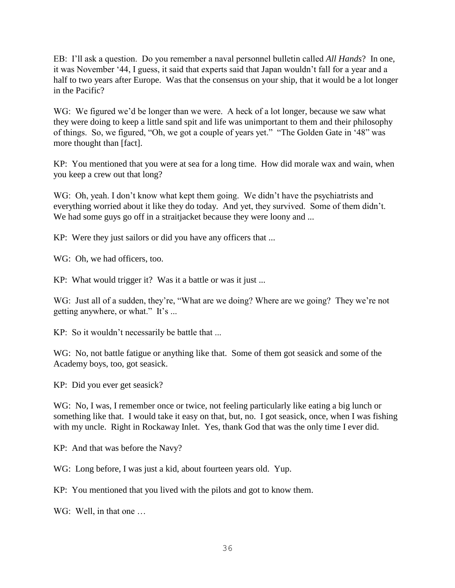EB: I'll ask a question. Do you remember a naval personnel bulletin called *All Hands*? In one, it was November '44, I guess, it said that experts said that Japan wouldn't fall for a year and a half to two years after Europe. Was that the consensus on your ship, that it would be a lot longer in the Pacific?

WG: We figured we'd be longer than we were. A heck of a lot longer, because we saw what they were doing to keep a little sand spit and life was unimportant to them and their philosophy of things. So, we figured, "Oh, we got a couple of years yet." "The Golden Gate in '48" was more thought than [fact].

KP: You mentioned that you were at sea for a long time. How did morale wax and wain, when you keep a crew out that long?

WG: Oh, yeah. I don't know what kept them going. We didn't have the psychiatrists and everything worried about it like they do today. And yet, they survived. Some of them didn't. We had some guys go off in a straitjacket because they were loony and ...

KP: Were they just sailors or did you have any officers that ...

WG: Oh, we had officers, too.

KP: What would trigger it? Was it a battle or was it just ...

WG: Just all of a sudden, they're, "What are we doing? Where are we going? They we're not getting anywhere, or what." It's ...

KP: So it wouldn't necessarily be battle that ...

WG: No, not battle fatigue or anything like that. Some of them got seasick and some of the Academy boys, too, got seasick.

KP: Did you ever get seasick?

WG: No, I was, I remember once or twice, not feeling particularly like eating a big lunch or something like that. I would take it easy on that, but, no. I got seasick, once, when I was fishing with my uncle. Right in Rockaway Inlet. Yes, thank God that was the only time I ever did.

KP: And that was before the Navy?

WG: Long before, I was just a kid, about fourteen years old. Yup.

KP: You mentioned that you lived with the pilots and got to know them.

WG: Well, in that one ...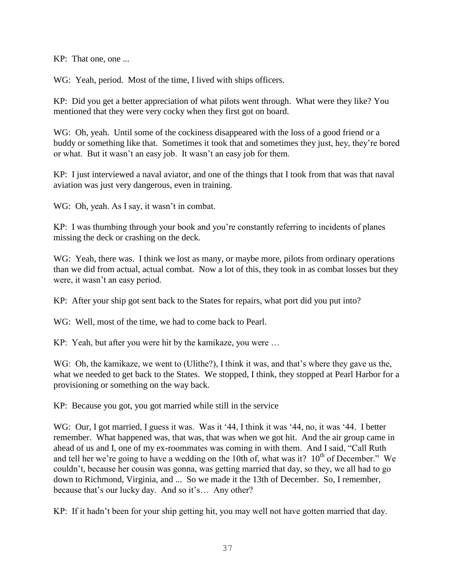KP: That one, one ...

WG: Yeah, period. Most of the time, I lived with ships officers.

KP: Did you get a better appreciation of what pilots went through. What were they like? You mentioned that they were very cocky when they first got on board.

WG: Oh, yeah. Until some of the cockiness disappeared with the loss of a good friend or a buddy or something like that. Sometimes it took that and sometimes they just, hey, they're bored or what. But it wasn't an easy job. It wasn't an easy job for them.

KP: I just interviewed a naval aviator, and one of the things that I took from that was that naval aviation was just very dangerous, even in training.

WG: Oh, yeah. As I say, it wasn't in combat.

KP: I was thumbing through your book and you're constantly referring to incidents of planes missing the deck or crashing on the deck.

WG: Yeah, there was. I think we lost as many, or maybe more, pilots from ordinary operations than we did from actual, actual combat. Now a lot of this, they took in as combat losses but they were, it wasn't an easy period.

KP: After your ship got sent back to the States for repairs, what port did you put into?

WG: Well, most of the time, we had to come back to Pearl.

KP: Yeah, but after you were hit by the kamikaze, you were …

WG: Oh, the kamikaze, we went to (Ulithe?), I think it was, and that's where they gave us the, what we needed to get back to the States. We stopped, I think, they stopped at Pearl Harbor for a provisioning or something on the way back.

KP: Because you got, you got married while still in the service

WG: Our, I got married, I guess it was. Was it '44, I think it was '44, no, it was '44. I better remember. What happened was, that was, that was when we got hit. And the air group came in ahead of us and I, one of my ex-roommates was coming in with them. And I said, "Call Ruth and tell her we're going to have a wedding on the 10th of, what was it?  $10^{th}$  of December." We couldn't, because her cousin was gonna, was getting married that day, so they, we all had to go down to Richmond, Virginia, and ... So we made it the 13th of December. So, I remember, because that's our lucky day. And so it's… Any other?

KP: If it hadn't been for your ship getting hit, you may well not have gotten married that day.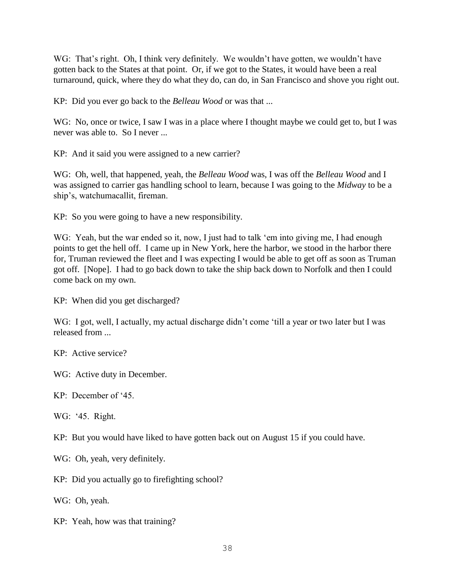WG: That's right. Oh, I think very definitely. We wouldn't have gotten, we wouldn't have gotten back to the States at that point. Or, if we got to the States, it would have been a real turnaround, quick, where they do what they do, can do, in San Francisco and shove you right out.

KP: Did you ever go back to the *Belleau Wood* or was that ...

WG: No, once or twice, I saw I was in a place where I thought maybe we could get to, but I was never was able to. So I never ...

KP: And it said you were assigned to a new carrier?

WG: Oh, well, that happened, yeah, the *Belleau Wood* was, I was off the *Belleau Wood* and I was assigned to carrier gas handling school to learn, because I was going to the *Midway* to be a ship's, watchumacallit, fireman.

KP: So you were going to have a new responsibility.

WG: Yeah, but the war ended so it, now, I just had to talk 'em into giving me, I had enough points to get the hell off. I came up in New York, here the harbor, we stood in the harbor there for, Truman reviewed the fleet and I was expecting I would be able to get off as soon as Truman got off. [Nope]. I had to go back down to take the ship back down to Norfolk and then I could come back on my own.

KP: When did you get discharged?

WG: I got, well, I actually, my actual discharge didn't come 'till a year or two later but I was released from ...

KP: Active service?

WG: Active duty in December.

KP: December of '45.

WG: '45. Right.

KP: But you would have liked to have gotten back out on August 15 if you could have.

WG: Oh, yeah, very definitely.

KP: Did you actually go to firefighting school?

WG: Oh, yeah.

KP: Yeah, how was that training?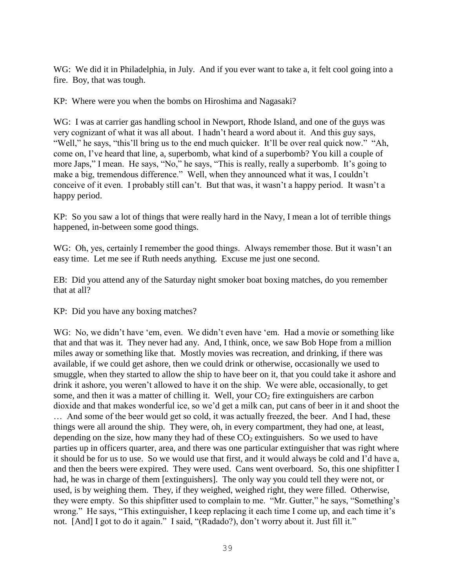WG: We did it in Philadelphia, in July. And if you ever want to take a, it felt cool going into a fire. Boy, that was tough.

KP: Where were you when the bombs on Hiroshima and Nagasaki?

WG: I was at carrier gas handling school in Newport, Rhode Island, and one of the guys was very cognizant of what it was all about. I hadn't heard a word about it. And this guy says, "Well," he says, "this'll bring us to the end much quicker. It'll be over real quick now." "Ah, come on, I've heard that line, a, superbomb, what kind of a superbomb? You kill a couple of more Japs," I mean. He says, "No," he says, "This is really, really a superbomb. It's going to make a big, tremendous difference." Well, when they announced what it was, I couldn't conceive of it even. I probably still can't. But that was, it wasn't a happy period. It wasn't a happy period.

KP: So you saw a lot of things that were really hard in the Navy, I mean a lot of terrible things happened, in-between some good things.

WG: Oh, yes, certainly I remember the good things. Always remember those. But it wasn't an easy time. Let me see if Ruth needs anything. Excuse me just one second.

EB: Did you attend any of the Saturday night smoker boat boxing matches, do you remember that at all?

KP: Did you have any boxing matches?

WG: No, we didn't have 'em, even. We didn't even have 'em. Had a movie or something like that and that was it. They never had any. And, I think, once, we saw Bob Hope from a million miles away or something like that. Mostly movies was recreation, and drinking, if there was available, if we could get ashore, then we could drink or otherwise, occasionally we used to smuggle, when they started to allow the ship to have beer on it, that you could take it ashore and drink it ashore, you weren't allowed to have it on the ship. We were able, occasionally, to get some, and then it was a matter of chilling it. Well, your  $CO<sub>2</sub>$  fire extinguishers are carbon dioxide and that makes wonderful ice, so we'd get a milk can, put cans of beer in it and shoot the … And some of the beer would get so cold, it was actually freezed, the beer. And I had, these things were all around the ship. They were, oh, in every compartment, they had one, at least, depending on the size, how many they had of these  $CO<sub>2</sub>$  extinguishers. So we used to have parties up in officers quarter, area, and there was one particular extinguisher that was right where it should be for us to use. So we would use that first, and it would always be cold and I'd have a, and then the beers were expired. They were used. Cans went overboard. So, this one shipfitter I had, he was in charge of them [extinguishers]. The only way you could tell they were not, or used, is by weighing them. They, if they weighed, weighed right, they were filled. Otherwise, they were empty. So this shipfitter used to complain to me. "Mr. Gutter," he says, "Something's wrong." He says, "This extinguisher, I keep replacing it each time I come up, and each time it's not. [And] I got to do it again." I said, "(Radado?), don't worry about it. Just fill it."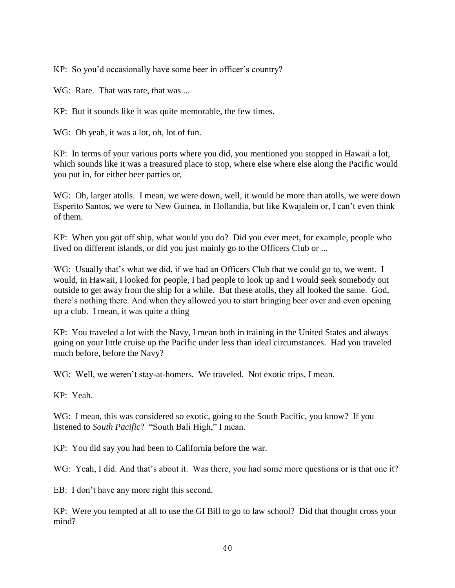KP: So you'd occasionally have some beer in officer's country?

WG: Rare. That was rare, that was ...

KP: But it sounds like it was quite memorable, the few times.

WG: Oh yeah, it was a lot, oh, lot of fun.

KP: In terms of your various ports where you did, you mentioned you stopped in Hawaii a lot, which sounds like it was a treasured place to stop, where else where else along the Pacific would you put in, for either beer parties or,

WG: Oh, larger atolls. I mean, we were down, well, it would be more than atolls, we were down Esperito Santos, we were to New Guinea, in Hollandia, but like Kwajalein or, I can't even think of them.

KP: When you got off ship, what would you do? Did you ever meet, for example, people who lived on different islands, or did you just mainly go to the Officers Club or ...

WG: Usually that's what we did, if we had an Officers Club that we could go to, we went. I would, in Hawaii, I looked for people, I had people to look up and I would seek somebody out outside to get away from the ship for a while. But these atolls, they all looked the same. God, there's nothing there. And when they allowed you to start bringing beer over and even opening up a club. I mean, it was quite a thing

KP: You traveled a lot with the Navy, I mean both in training in the United States and always going on your little cruise up the Pacific under less than ideal circumstances. Had you traveled much before, before the Navy?

WG: Well, we weren't stay-at-homers. We traveled. Not exotic trips, I mean.

KP: Yeah.

WG: I mean, this was considered so exotic, going to the South Pacific, you know? If you listened to *South Pacific*? "South Bali High," I mean.

KP: You did say you had been to California before the war.

WG: Yeah, I did. And that's about it. Was there, you had some more questions or is that one it?

EB: I don't have any more right this second.

KP: Were you tempted at all to use the GI Bill to go to law school? Did that thought cross your mind?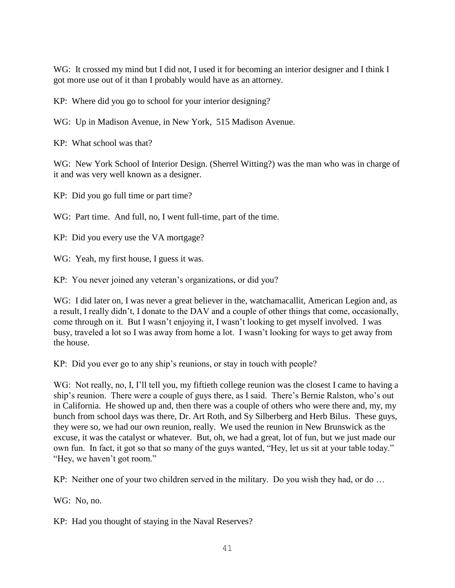WG: It crossed my mind but I did not, I used it for becoming an interior designer and I think I got more use out of it than I probably would have as an attorney.

KP: Where did you go to school for your interior designing?

WG: Up in Madison Avenue, in New York, 515 Madison Avenue.

KP: What school was that?

WG: New York School of Interior Design. (Sherrel Witting?) was the man who was in charge of it and was very well known as a designer.

KP: Did you go full time or part time?

WG: Part time. And full, no, I went full-time, part of the time.

KP: Did you every use the VA mortgage?

WG: Yeah, my first house, I guess it was.

KP: You never joined any veteran's organizations, or did you?

WG: I did later on, I was never a great believer in the, watchamacallit, American Legion and, as a result, I really didn't, I donate to the DAV and a couple of other things that come, occasionally, come through on it. But I wasn't enjoying it, I wasn't looking to get myself involved. I was busy, traveled a lot so I was away from home a lot. I wasn't looking for ways to get away from the house.

KP: Did you ever go to any ship's reunions, or stay in touch with people?

WG: Not really, no, I, I'll tell you, my fiftieth college reunion was the closest I came to having a ship's reunion. There were a couple of guys there, as I said. There's Bernie Ralston, who's out in California. He showed up and, then there was a couple of others who were there and, my, my bunch from school days was there, Dr. Art Roth, and Sy Silberberg and Herb Bilus. These guys, they were so, we had our own reunion, really. We used the reunion in New Brunswick as the excuse, it was the catalyst or whatever. But, oh, we had a great, lot of fun, but we just made our own fun. In fact, it got so that so many of the guys wanted, "Hey, let us sit at your table today." "Hey, we haven't got room."

KP: Neither one of your two children served in the military. Do you wish they had, or do …

WG: No, no.

KP: Had you thought of staying in the Naval Reserves?